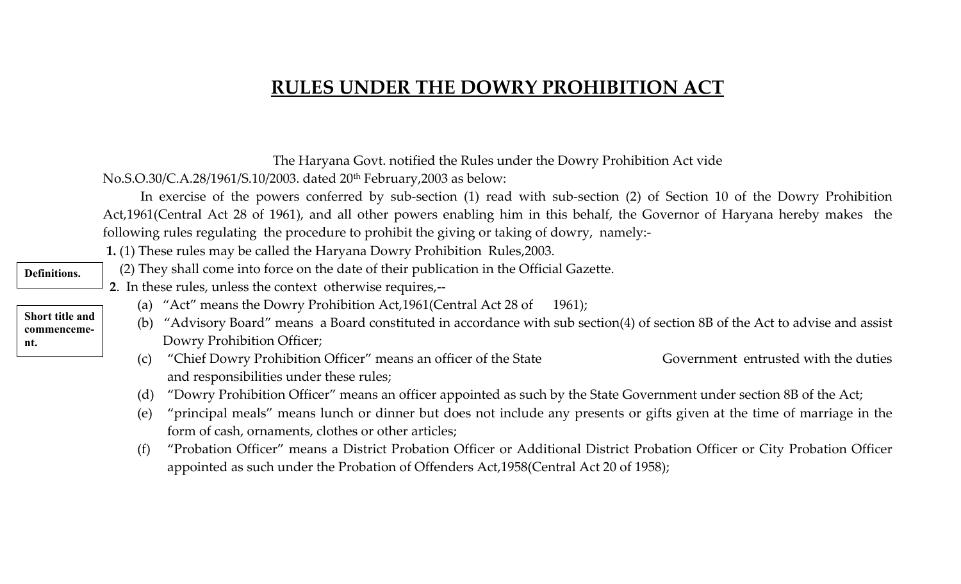## **RULES UNDER THE DOWRY PROHIBITION ACT**

|                                |                                                                                                                                                                                                                                                                                                                                             | The Haryana Govt. notified the Rules under the Dowry Prohibition Act vide                                                 |                                      |  |  |  |  |  |
|--------------------------------|---------------------------------------------------------------------------------------------------------------------------------------------------------------------------------------------------------------------------------------------------------------------------------------------------------------------------------------------|---------------------------------------------------------------------------------------------------------------------------|--------------------------------------|--|--|--|--|--|
|                                | No.S.O.30/C.A.28/1961/S.10/2003. dated 20 <sup>th</sup> February, 2003 as below:<br>In exercise of the powers conferred by sub-section (1) read with sub-section (2) of Section 10 of the Dowry Prohibition<br>Act,1961(Central Act 28 of 1961), and all other powers enabling him in this behalf, the Governor of Haryana hereby makes the |                                                                                                                           |                                      |  |  |  |  |  |
|                                |                                                                                                                                                                                                                                                                                                                                             |                                                                                                                           |                                      |  |  |  |  |  |
|                                |                                                                                                                                                                                                                                                                                                                                             | following rules regulating the procedure to prohibit the giving or taking of dowry, namely:-                              |                                      |  |  |  |  |  |
|                                |                                                                                                                                                                                                                                                                                                                                             | 1. (1) These rules may be called the Haryana Dowry Prohibition Rules, 2003.                                               |                                      |  |  |  |  |  |
| <b>Definitions.</b>            | (2) They shall come into force on the date of their publication in the Official Gazette.                                                                                                                                                                                                                                                    |                                                                                                                           |                                      |  |  |  |  |  |
|                                |                                                                                                                                                                                                                                                                                                                                             | 2. In these rules, unless the context otherwise requires,--                                                               |                                      |  |  |  |  |  |
|                                | (a)                                                                                                                                                                                                                                                                                                                                         | "Act" means the Dowry Prohibition Act, $1961$ (Central Act 28 of 1961);                                                   |                                      |  |  |  |  |  |
| Short title and<br>commenceme- | "Advisory Board" means a Board constituted in accordance with sub section(4) of section 8B of the Act to advise and assist<br>(b)                                                                                                                                                                                                           |                                                                                                                           |                                      |  |  |  |  |  |
| nt.                            |                                                                                                                                                                                                                                                                                                                                             | Dowry Prohibition Officer;                                                                                                |                                      |  |  |  |  |  |
|                                | (c)                                                                                                                                                                                                                                                                                                                                         | "Chief Dowry Prohibition Officer" means an officer of the State                                                           | Government entrusted with the duties |  |  |  |  |  |
|                                |                                                                                                                                                                                                                                                                                                                                             | and responsibilities under these rules;                                                                                   |                                      |  |  |  |  |  |
|                                | (d)                                                                                                                                                                                                                                                                                                                                         | "Dowry Prohibition Officer" means an officer appointed as such by the State Government under section 8B of the Act;       |                                      |  |  |  |  |  |
|                                | (e)                                                                                                                                                                                                                                                                                                                                         | "principal meals" means lunch or dinner but does not include any presents or gifts given at the time of marriage in the   |                                      |  |  |  |  |  |
|                                |                                                                                                                                                                                                                                                                                                                                             | form of cash, ornaments, clothes or other articles;                                                                       |                                      |  |  |  |  |  |
|                                | (f)                                                                                                                                                                                                                                                                                                                                         | "Probation Officer" means a District Probation Officer or Additional District Probation Officer or City Probation Officer |                                      |  |  |  |  |  |
|                                |                                                                                                                                                                                                                                                                                                                                             | appointed as such under the Probation of Offenders Act, 1958(Central Act 20 of 1958);                                     |                                      |  |  |  |  |  |
|                                |                                                                                                                                                                                                                                                                                                                                             |                                                                                                                           |                                      |  |  |  |  |  |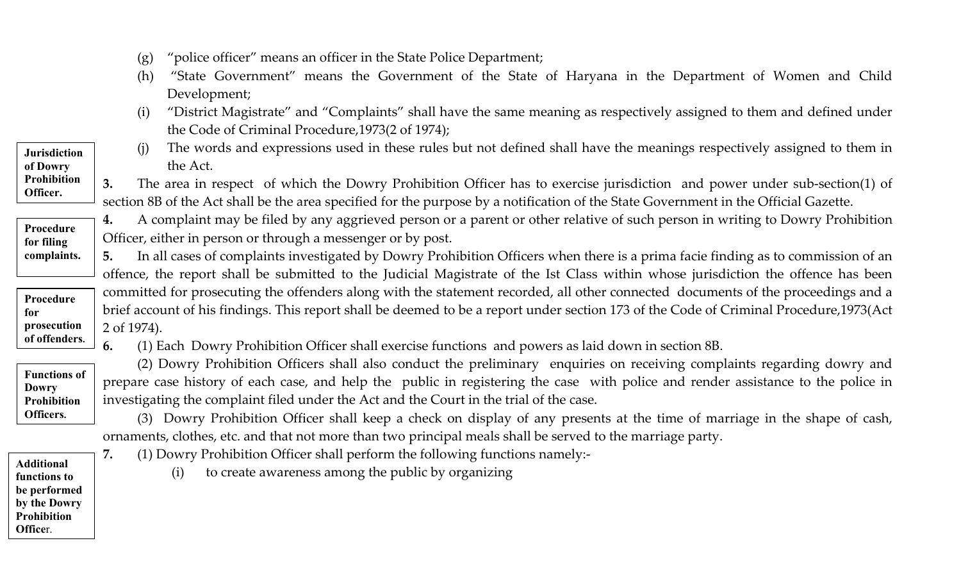- (g) "police officer" means an officer in the State Police Department;
- (h) "State Government" means the Government of the State of Haryana in the Department of Women and Child Development;
- (i) "District Magistrate" and "Complaints" shall have the same meaning as respectively assigned to them and defined under the Code of Criminal Procedure,1973(2 of 1974);
- (j) The words and expressions used in these rules but not defined shall have the meanings respectively assigned to them in the Act.

**3.** The area in respect of which the Dowry Prohibition Officer has to exercise jurisdiction and power under sub-section(1) of section 8B of the Act shall be the area specified for the purpose by a notification of the State Government in the Official Gazette.

**4.** A complaint may be filed by any aggrieved person or a parent or other relative of such person in writing to Dowry Prohibition Officer, either in person or through a messenger or by post.

**5.** In all cases of complaints investigated by Dowry Prohibition Officers when there is a prima facie finding as to commission of an offence, the report shall be submitted to the Judicial Magistrate of the Ist Class within whose jurisdiction the offence has been committed for prosecuting the offenders along with the statement recorded, all other connected documents of the proceedings and a brief account of his findings. This report shall be deemed to be a report under section 173 of the Code of Criminal Procedure,1973(Act 2 of 1974).

**6.** (1) Each Dowry Prohibition Officer shall exercise functions and powers as laid down in section 8B.



 (2) Dowry Prohibition Officers shall also conduct the preliminary enquiries on receiving complaints regarding dowry and prepare case history of each case, and help the public in registering the case with police and render assistance to the police in investigating the complaint filed under the Act and the Court in the trial of the case.

 (3) Dowry Prohibition Officer shall keep a check on display of any presents at the time of marriage in the shape of cash, ornaments, clothes, etc. and that not more than two principal meals shall be served to the marriage party.

**7.** (1) Dowry Prohibition Officer shall perform the following functions namely:-

**Additional functions to be performed by the Dowry Prohibition Office**r.

(i) to create awareness among the public by organizing

**Jurisdiction of Dowry Prohibition Officer.** 

**Procedure for filing complaints.** 

**Procedure for prosecution of offenders.**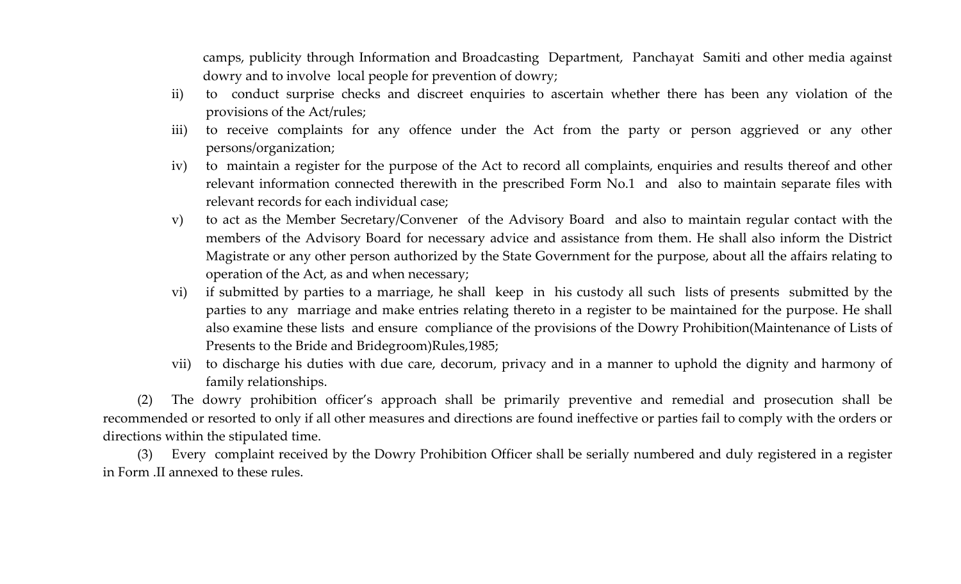camps, publicity through Information and Broadcasting Department, Panchayat Samiti and other media against dowry and to involve local people for prevention of dowry;

- ii) to conduct surprise checks and discreet enquiries to ascertain whether there has been any violation of the provisions of the Act/rules;
- iii) to receive complaints for any offence under the Act from the party or person aggrieved or any other persons/organization;
- iv) to maintain a register for the purpose of the Act to record all complaints, enquiries and results thereof and other relevant information connected therewith in the prescribed Form No.1 and also to maintain separate files with relevant records for each individual case;
- v) to act as the Member Secretary/Convener of the Advisory Board and also to maintain regular contact with the members of the Advisory Board for necessary advice and assistance from them. He shall also inform the District Magistrate or any other person authorized by the State Government for the purpose, about all the affairs relating to operation of the Act, as and when necessary;
- vi) if submitted by parties to a marriage, he shall keep in his custody all such lists of presents submitted by the parties to any marriage and make entries relating thereto in a register to be maintained for the purpose. He shall also examine these lists and ensure compliance of the provisions of the Dowry Prohibition(Maintenance of Lists of Presents to the Bride and Bridegroom)Rules,1985;
- vii) to discharge his duties with due care, decorum, privacy and in a manner to uphold the dignity and harmony of family relationships.

(2) The dowry prohibition officer's approach shall be primarily preventive and remedial and prosecution shall be recommended or resorted to only if all other measures and directions are found ineffective or parties fail to comply with the orders or directions within the stipulated time.

(3) Every complaint received by the Dowry Prohibition Officer shall be serially numbered and duly registered in a register in Form .II annexed to these rules.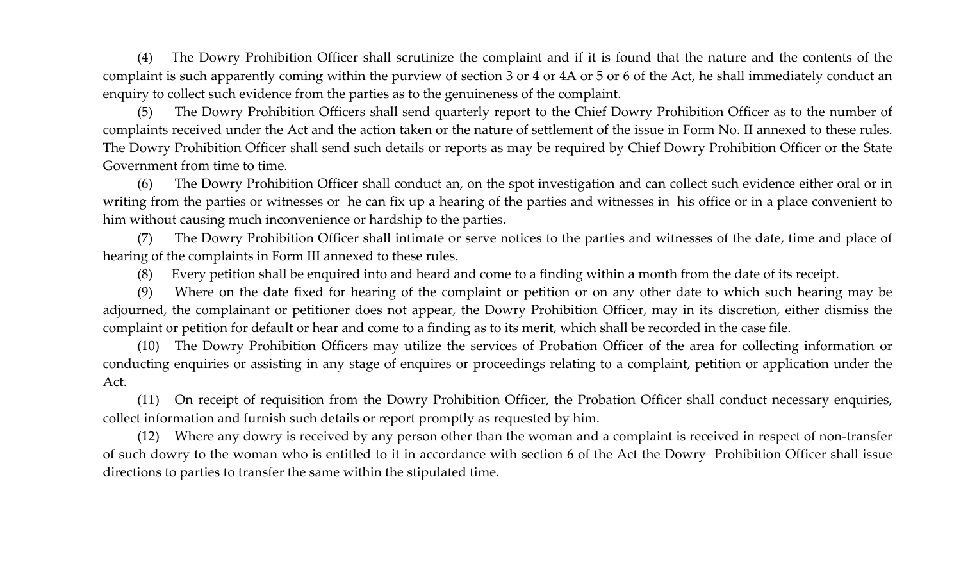(4) The Dowry Prohibition Officer shall scrutinize the complaint and if it is found that the nature and the contents of the complaint is such apparently coming within the purview of section 3 or 4 or 4A or 5 or 6 of the Act, he shall immediately conduct an enquiry to collect such evidence from the parties as to the genuineness of the complaint.

(5) The Dowry Prohibition Officers shall send quarterly report to the Chief Dowry Prohibition Officer as to the number of complaints received under the Act and the action taken or the nature of settlement of the issue in Form No. II annexed to these rules. The Dowry Prohibition Officer shall send such details or reports as may be required by Chief Dowry Prohibition Officer or the State Government from time to time.

(6) The Dowry Prohibition Officer shall conduct an, on the spot investigation and can collect such evidence either oral or in writing from the parties or witnesses or he can fix up a hearing of the parties and witnesses in his office or in a place convenient to him without causing much inconvenience or hardship to the parties.

(7) The Dowry Prohibition Officer shall intimate or serve notices to the parties and witnesses of the date, time and place of hearing of the complaints in Form III annexed to these rules.

(8) Every petition shall be enquired into and heard and come to a finding within a month from the date of its receipt.

(9) Where on the date fixed for hearing of the complaint or petition or on any other date to which such hearing may be adjourned, the complainant or petitioner does not appear, the Dowry Prohibition Officer, may in its discretion, either dismiss the complaint or petition for default or hear and come to a finding as to its merit, which shall be recorded in the case file.

(10) The Dowry Prohibition Officers may utilize the services of Probation Officer of the area for collecting information or conducting enquiries or assisting in any stage of enquires or proceedings relating to a complaint, petition or application under the Act.

(11) On receipt of requisition from the Dowry Prohibition Officer, the Probation Officer shall conduct necessary enquiries, collect information and furnish such details or report promptly as requested by him.

(12) Where any dowry is received by any person other than the woman and a complaint is received in respect of non-transfer of such dowry to the woman who is entitled to it in accordance with section 6 of the Act the Dowry Prohibition Officer shall issue directions to parties to transfer the same within the stipulated time.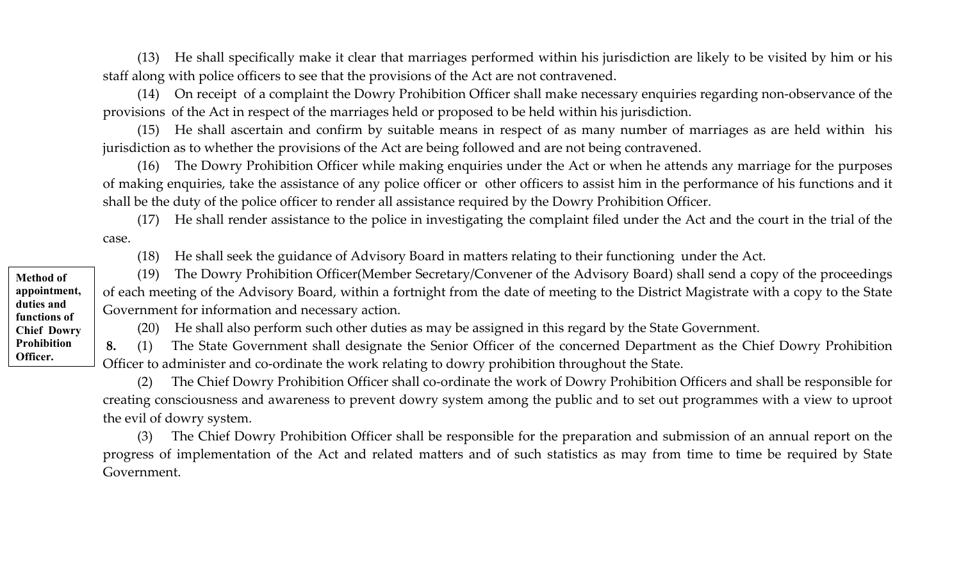(13) He shall specifically make it clear that marriages performed within his jurisdiction are likely to be visited by him or his staff along with police officers to see that the provisions of the Act are not contravened.

(14) On receipt of a complaint the Dowry Prohibition Officer shall make necessary enquiries regarding non-observance of the provisions of the Act in respect of the marriages held or proposed to be held within his jurisdiction.

(15) He shall ascertain and confirm by suitable means in respect of as many number of marriages as are held within his jurisdiction as to whether the provisions of the Act are being followed and are not being contravened.

(16) The Dowry Prohibition Officer while making enquiries under the Act or when he attends any marriage for the purposes of making enquiries, take the assistance of any police officer or other officers to assist him in the performance of his functions and it shall be the duty of the police officer to render all assistance required by the Dowry Prohibition Officer.

(17) He shall render assistance to the police in investigating the complaint filed under the Act and the court in the trial of the case.

(18) He shall seek the guidance of Advisory Board in matters relating to their functioning under the Act.

(19) The Dowry Prohibition Officer(Member Secretary/Convener of the Advisory Board) shall send a copy of the proceedings of each meeting of the Advisory Board, within a fortnight from the date of meeting to the District Magistrate with a copy to the State Government for information and necessary action.

(20) He shall also perform such other duties as may be assigned in this regard by the State Government.

 **8.** (1) The State Government shall designate the Senior Officer of the concerned Department as the Chief Dowry Prohibition Officer to administer and co-ordinate the work relating to dowry prohibition throughout the State.

(2) The Chief Dowry Prohibition Officer shall co-ordinate the work of Dowry Prohibition Officers and shall be responsible for creating consciousness and awareness to prevent dowry system among the public and to set out programmes with a view to uproot the evil of dowry system.

(3) The Chief Dowry Prohibition Officer shall be responsible for the preparation and submission of an annual report on the progress of implementation of the Act and related matters and of such statistics as may from time to time be required by State Government.

**Method of appointment, duties and functions of Chief Dowry Prohibition Officer.**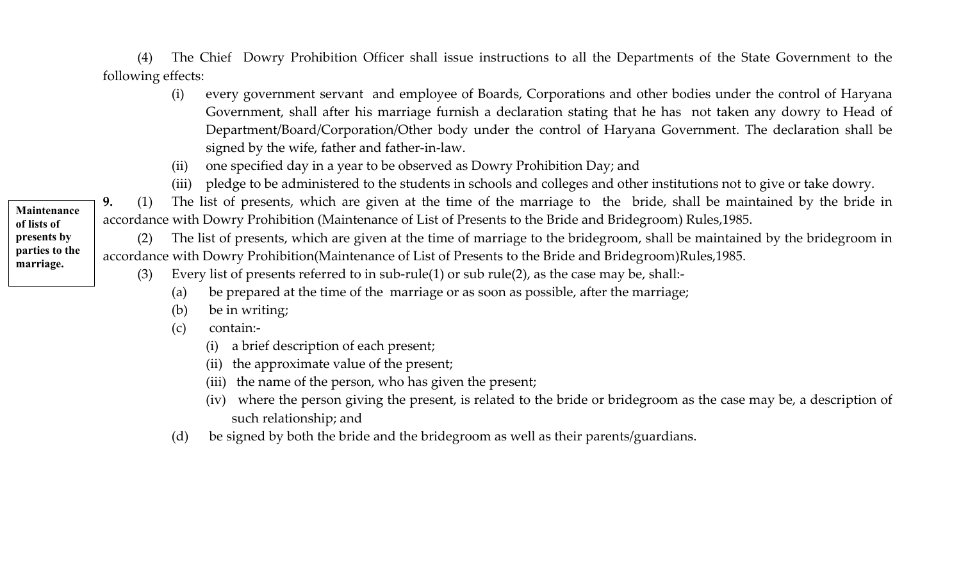(4) The Chief Dowry Prohibition Officer shall issue instructions to all the Departments of the State Government to the following effects:

- (i) every government servant and employee of Boards, Corporations and other bodies under the control of Haryana Government, shall after his marriage furnish a declaration stating that he has not taken any dowry to Head of Department/Board/Corporation/Other body under the control of Haryana Government. The declaration shall be signed by the wife, father and father-in-law.
- (ii) one specified day in a year to be observed as Dowry Prohibition Day; and
- (iii) pledge to be administered to the students in schools and colleges and other institutions not to give or take dowry.

**9.** (1) The list of presents, which are given at the time of the marriage to the bride, shall be maintained by the bride in accordance with Dowry Prohibition (Maintenance of List of Presents to the Bride and Bridegroom) Rules,1985.

(2) The list of presents, which are given at the time of marriage to the bridegroom, shall be maintained by the bridegroom in accordance with Dowry Prohibition(Maintenance of List of Presents to the Bride and Bridegroom)Rules,1985.

- (3) Every list of presents referred to in sub-rule(1) or sub rule(2), as the case may be, shall:-
	- (a) be prepared at the time of the marriage or as soon as possible, after the marriage;
	- (b) be in writing;
	- (c) contain:-
		- (i) a brief description of each present;
		- (ii) the approximate value of the present;
		- (iii) the name of the person, who has given the present;
		- (iv) where the person giving the present, is related to the bride or bridegroom as the case may be, a description of such relationship; and
	- (d) be signed by both the bride and the bridegroom as well as their parents/guardians.

**Maintenance of lists of presents by parties to the marriage.**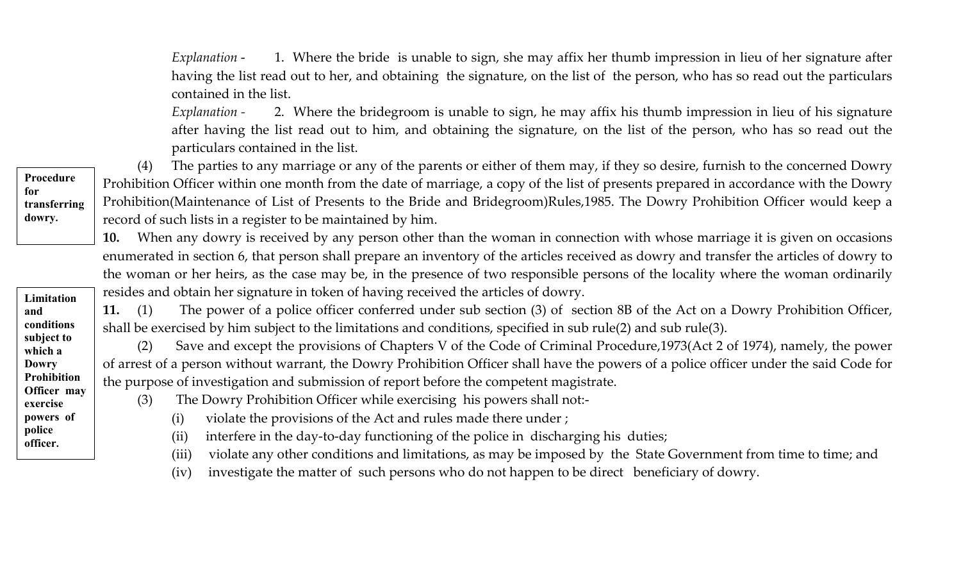*Explanation* - 1. Where the bride is unable to sign, she may affix her thumb impression in lieu of her signature after having the list read out to her, and obtaining the signature, on the list of the person, who has so read out the particulars contained in the list.

*Explanation -* 2. Where the bridegroom is unable to sign, he may affix his thumb impression in lieu of his signature after having the list read out to him, and obtaining the signature, on the list of the person, who has so read out the particulars contained in the list.

(4) The parties to any marriage or any of the parents or either of them may, if they so desire, furnish to the concerned Dowry Prohibition Officer within one month from the date of marriage, a copy of the list of presents prepared in accordance with the Dowry Prohibition(Maintenance of List of Presents to the Bride and Bridegroom)Rules,1985. The Dowry Prohibition Officer would keep a record of such lists in a register to be maintained by him.

**10.** When any dowry is received by any person other than the woman in connection with whose marriage it is given on occasions enumerated in section 6, that person shall prepare an inventory of the articles received as dowry and transfer the articles of dowry to the woman or her heirs, as the case may be, in the presence of two responsible persons of the locality where the woman ordinarily resides and obtain her signature in token of having received the articles of dowry.

**11.** (1) The power of a police officer conferred under sub section (3) of section 8B of the Act on a Dowry Prohibition Officer, shall be exercised by him subject to the limitations and conditions, specified in sub rule(2) and sub rule(3).

(2) Save and except the provisions of Chapters V of the Code of Criminal Procedure,1973(Act 2 of 1974), namely, the power of arrest of a person without warrant, the Dowry Prohibition Officer shall have the powers of a police officer under the said Code for the purpose of investigation and submission of report before the competent magistrate.

- (3) The Dowry Prohibition Officer while exercising his powers shall not:-
	- (i) violate the provisions of the Act and rules made there under ;
	- (ii) interfere in the day-to-day functioning of the police in discharging his duties;
	- (iii) violate any other conditions and limitations, as may be imposed by the State Government from time to time; and
	- (iv) investigate the matter of such persons who do not happen to be direct beneficiary of dowry.

**Procedure for transferring dowry.**

**Limitation and conditions subject to which a Dowry Prohibition Officer may exercise powers of police officer.**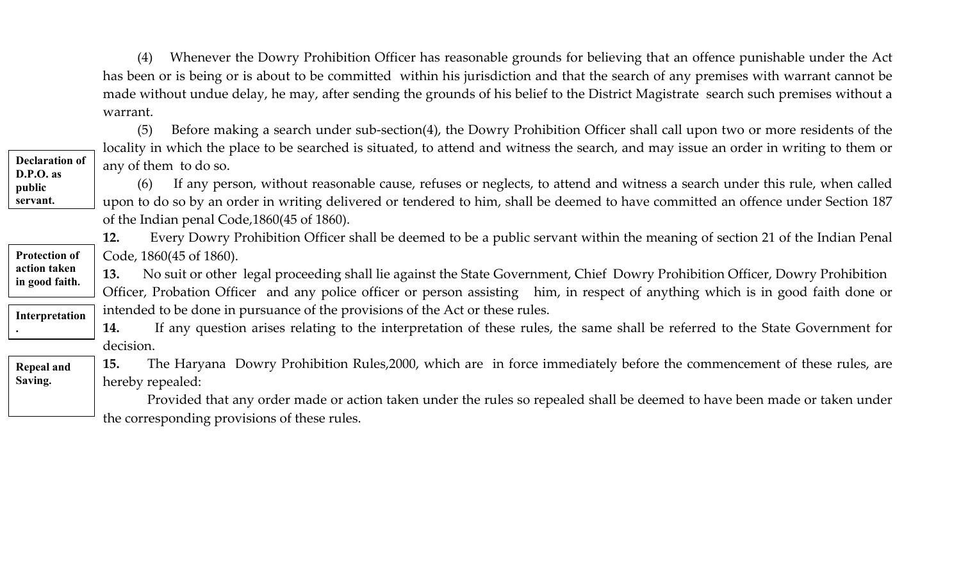(4) Whenever the Dowry Prohibition Officer has reasonable grounds for believing that an offence punishable under the Act has been or is being or is about to be committed within his jurisdiction and that the search of any premises with warrant cannot be made without undue delay, he may, after sending the grounds of his belief to the District Magistrate search such premises without a warrant.

|                                      | Before making a search under sub-section(4), the Dowry Prohibition Officer shall call upon two or more residents of the<br>(5)         |  |  |  |  |
|--------------------------------------|----------------------------------------------------------------------------------------------------------------------------------------|--|--|--|--|
|                                      | locality in which the place to be searched is situated, to attend and witness the search, and may issue an order in writing to them or |  |  |  |  |
| <b>Declaration of</b><br>$D.P.O.$ as | any of them to do so.                                                                                                                  |  |  |  |  |
| public                               | If any person, without reasonable cause, refuses or neglects, to attend and witness a search under this rule, when called<br>(6)       |  |  |  |  |
| servant.                             | upon to do so by an order in writing delivered or tendered to him, shall be deemed to have committed an offence under Section 187      |  |  |  |  |
|                                      | of the Indian penal Code, 1860(45 of 1860).                                                                                            |  |  |  |  |
|                                      | Every Dowry Prohibition Officer shall be deemed to be a public servant within the meaning of section 21 of the Indian Penal<br>12.     |  |  |  |  |
| <b>Protection of</b>                 | Code, 1860(45 of 1860).                                                                                                                |  |  |  |  |
| action taken<br>in good faith.       | No suit or other legal proceeding shall lie against the State Government, Chief Dowry Prohibition Officer, Dowry Prohibition<br>13.    |  |  |  |  |
|                                      | Officer, Probation Officer and any police officer or person assisting him, in respect of anything which is in good faith done or       |  |  |  |  |
| Interpretation                       | intended to be done in pursuance of the provisions of the Act or these rules.                                                          |  |  |  |  |
|                                      | If any question arises relating to the interpretation of these rules, the same shall be referred to the State Government for<br>14.    |  |  |  |  |
|                                      | decision.                                                                                                                              |  |  |  |  |
| <b>Repeal and</b>                    | The Haryana Dowry Prohibition Rules,2000, which are in force immediately before the commencement of these rules, are<br>15.            |  |  |  |  |
| Saving.                              | hereby repealed:                                                                                                                       |  |  |  |  |
|                                      | Provided that any order made or action taken under the rules so repealed shall be deemed to have been made or taken under              |  |  |  |  |
|                                      | the corresponding provisions of these rules.                                                                                           |  |  |  |  |
|                                      |                                                                                                                                        |  |  |  |  |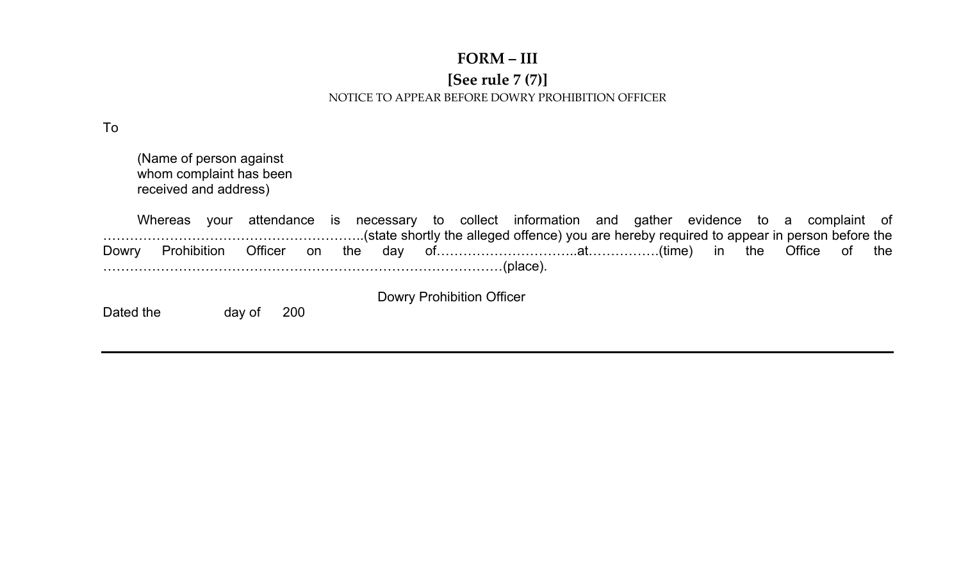#### **FORM – III**

#### **[See rule 7 (7)]**  NOTICE TO APPEAR BEFORE DOWRY PROHIBITION OFFICER

To

 (Name of person against whom complaint has been received and address)

 Whereas your attendance is necessary to collect information and gather evidence to a complaint of …………………………………………………..(state shortly the alleged offence) you are hereby required to appear in person before the Dowry Prohibition Officer on the day of……………………………at……………(time) in the Office of the ………………………………………………………………………………(place).

Dated the day of 200

Dowry Prohibition Officer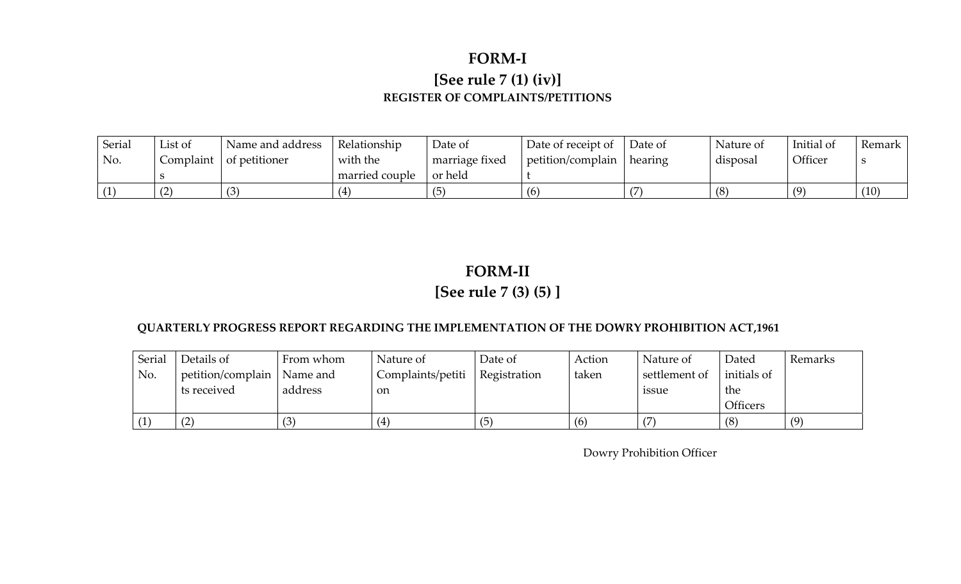### **FORM-I [See rule 7 (1) (iv)] REGISTER OF COMPLAINTS/PETITIONS**

| Serial | List of | Name and address                | Relationship   | Date of        | Date of receipt of | Date of | Nature of | Initial of | Remark |
|--------|---------|---------------------------------|----------------|----------------|--------------------|---------|-----------|------------|--------|
| No.    |         | Complaint $\vert$ of petitioner | with the       | marriage fixed | petition/complain  | hearing | disposal  | Officer    |        |
|        |         |                                 | married couple | or held        |                    |         |           |            |        |
|        | (2)     |                                 |                |                | (6)                |         | (8)       | (9)        | (10)   |

### **FORM-II [See rule 7 (3) (5) ]**

#### **QUARTERLY PROGRESS REPORT REGARDING THE IMPLEMENTATION OF THE DOWRY PROHIBITION ACT,1961**

| Serial | Details of        | From whom | Nature of         | Date of      | Action | Nature of     | Dated           | Remarks |
|--------|-------------------|-----------|-------------------|--------------|--------|---------------|-----------------|---------|
| No.    | petition/complain | Name and  | Complaints/petiti | Registration | taken  | settlement of | initials of     |         |
|        | ts received       | address   | <sub>on</sub>     |              |        | <i>ssue</i>   | the             |         |
|        |                   |           |                   |              |        |               | <b>Officers</b> |         |
| (1)    | $\sqrt{2}$        | (3)       |                   | (5)          | (6)    |               | (8)             | (9)     |

Dowry Prohibition Officer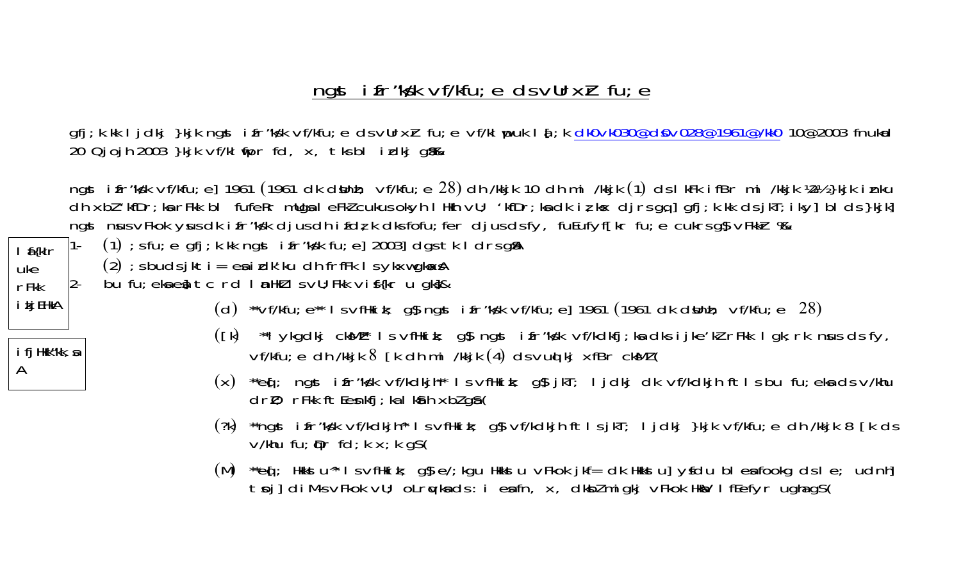## ngst ifr"kyk vf/kfu; e ds vUrxh fu; e

gfj; k.kk ljdkj }kjk ngst ifr"ksk vf/kfu; e ds vUrxir fu; e vf/kl puk la[; k dk0vk030@d0v028@1961@/kk0 10@2003 fnukad 20 Qjojh 2003 }kjk vf/kl tipr fd, x, tks bl i xdkj gli&

ngst ifr"ks'k vf/kfu; e] 1961 (1961 dk dsunh; vf/kfu; e 28) dh /kkjk 10 dh mi /kkjk (1) ds lkFk ifBr mi /kkjk ½½ }kjk inku dh xbl 'kfDr; ka rFkk bl fufeRr mUga I eFkl cukus okyh I Hkh vU; 'kfDr; ka dk iz kx djrsgq]gfj; k.kk dsjkT; iky]bl ds}kjk] ngst nus vFkok yus dk i fr"kyk djus dh i fdr, k dks fofu; fer djus ds fy, fuEufyf[kr fu; e cukrs g§ vFkkr % a

 $(1)$ ; s fu; e gfj; k. kk ngst i fr "ks'k fu; e] 2003] dgs tk I drs g\$A

 $(2)$ ; s buds jkti = ea i dk'ku dh frfFk l s ykxw gk $\alpha$ A

 $l$  f{klr

i kj EHkA

i fj Hkk"kk, a

uke

 $rF$ kk

 $\mathsf{A}$ 

- bu fu; eka eq tc rd I anthl I s vU; Fkk vif(kr u gkg&  $2 -$ 
	- (d) \*\*vf/kfu;  $e^{**}$  I s vfHki k; g\$ ngst i fr"ksk vf/kfu; e] 1961 (1961 dk d\$lnh; vf/kfu; e 28)
	- ([k) \*\*I ykgdkj cksMI\* I s vfHkik; g\$ ngst i fr"ks'k vf/kdkfj;ka dks i jke'kI rFkk I gk;rk nsus ds fy, vf/kfu; e dh /kkjk 8 [k dh mi /kkjk (4) ds vud kj xfBr ckMl (
	- (x) \*\*eq[; ngst ifr"ks'k vf/kdkjh\*\* IsvfHkik; g\$jkT; Ijdkj dk vf/kdkjh ftlsbu fu;ekadsv/khu  $dr$ ); rFkk ftEenkfj; ka I ka h xbl ga (
	- (?k) \*\*ngst ifr"ks/k vf/kdkjh^\* IsvfHkik; g\$vf/kdkjhftlsjkT; Ijdkj }kjk vf/kfu;e dh /kkjk 8 [k ds)  $V/khu$  fu;  $\rho r$  fd; k x; k gs(
	- (M)  $\alpha$  is  $\alpha$  is  $\alpha$  is  $\alpha$  is  $\alpha$  is in  $\alpha$  is  $\alpha$  is equallic to  $\alpha$  is in the  $\alpha$  is  $\alpha$  is  $\alpha$  is  $\alpha$  is  $\alpha$  is  $\alpha$  is  $\alpha$  is  $\alpha$  is  $\alpha$  is  $\alpha$  is  $\alpha$  is  $\alpha$  is  $\alpha$  is  $\alpha$  is  $\alpha$  is  $\alpha$  is  $\alpha$ toj] di M-s vFkok vU; oLrqvka ds: i eafn, x, dkbl migkj vFkok Hkav I fEefyr ugha qS (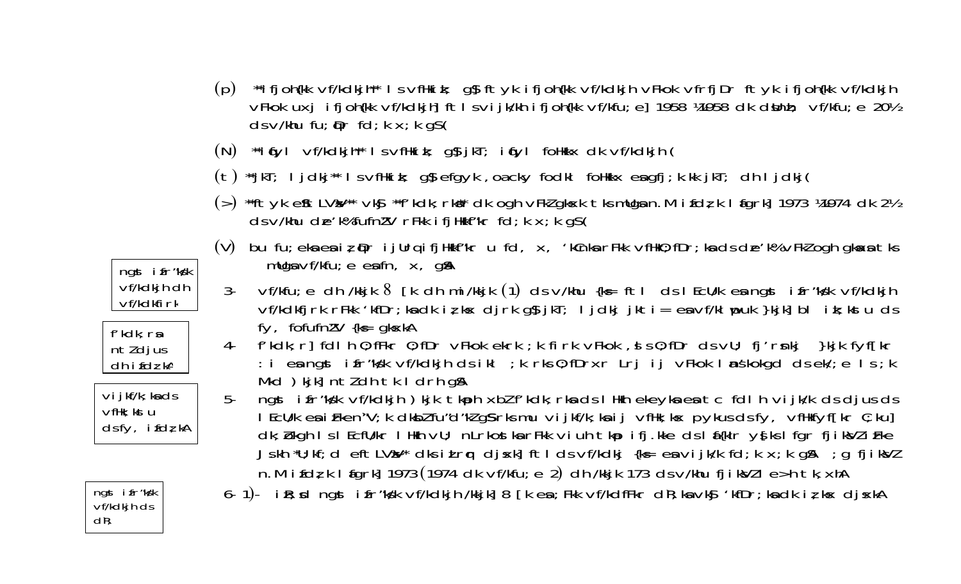- (p) \*\*ifjoh{kk vf/kdkjh\*\* IsvfHkik; g\$ftyk ifjoh{kk vf/kdkjh vFkok vfrfjDr ftyk ifjoh{kk vf/kdkjh VFkok uxj ifjoh{kk vf/kdkjh]ftlsvijk/kh ifjoh{kk vf/kfu;e]1958 ¼1958 dk d\$lnh; vf/kfu;e 20½  $ds \vee$ /khu fu;  $\mathbf{\Phi}$ r fd; k x; k g $\mathbf{S}$ (
- (N) \*\*i (yl vf/kdkjh\*\* I s vfHki k; g\$ jkT; i (yl foHkkx dk vf/kdkjh (
- (t) \*\*jkT; ljdkj\*\* lsvfHkik; g\$ efgyk, oacky fodkl foHkkx esgfj;k.kk jkT; dh ljdkj(
- (>) \*\*ftyk eftLVal\*\* vkg \*\*f'kdk; rki\* dk ogh vFkl gkxk tks mllgan. M ifdt; k l figrk] 1973 ¼1974 dk 2½  $ds$  v/khu de'k% fufn $l$ V rFkk ifjHkkf"kr fd; k  $x$ ; k g $s$ (
- (V) bu fu; eka ea iz prijurqifjHkkf"kr u fd, x, 'kCnka rFkk vfHkO; fDr; ka ds de'k% vFkZ ogh gkaxa tks mllga  $\nu$ f/kfu; e eafn, x, g $\mathbb{A}$
- $\mathcal{S}$ vf/kfu;e dh /kkjk 8 [k dh mi/kkjk (1) ds v/khu {k∈ ft| ds | EcU/k ea ngst ifr"kg'k vf/kdkjh vf/kdkfjrk rFkk 'kfDr; kadk iz kx djrk g\$jkT; ljdkj jkti= eavf/klupuk }kjk] bl ik; kstu ds fy, fofufnl'V {k ≠ gk xkA
- f'kdk; r] fdl h 0; fFkr 0; fDr vFkok ekrk ; k firk vFkok , s s 0; fDr ds vU; fj'rsnkj }kjk fyf[kr 4-: i en ngst if r"ks'k vf/kdkjh dsikl; k rks 0; fDrxr Lrj ij vFkok Instituded dsek/; e Is; k Mkd ) kikl nt/ dh tk I drh q\$
- $5$ ngst ifr"ky'k vf/kdkjh) kjk tkaph xblf'kdk; rka ds I Hkh ekeyka ea tc fdlh vijk/k ds djus ds I EcU/k es i Fken"V; k dkbl fu"d"kl g\$ rks mu vi jkf/k; ks i j vfHk; kx pykus ds fy, vfHkfyf[kr C; ku] dk; bkgh I s I EcfU/kr I Hkh vU; nLrkostka rFkk viuhtkpifj.kke ds I a{klr ys[ks I fgr fjiksVli Fke Jskh "U; kf; d eftLVAV" dks ilrq djsk] ftlds vf/kdkj {ks= en vijk/k fd; k x; k g\$, ; g fjikNl n. M i fdz k I figrk] 1973 (1974 dk vf/kfu; e 2) dh /kkjk 173 ds v/khu fjik $Ml$  l e>h tk, xhA

6- 1)- i R; xd ngst i fr "ks'k vf/kdkjh /kkjk] 8 [k e a ; Fkk vf/kdfFkr d R; ka vk§ 'kfDr; ka dk i z; kx dj xkA

ngst ifr"kyk vf/kdkjh dh  $Vf/kd$ kfirk



 $\vee$ i jkf/k; ka ds  $VfHk$ : kst u  $ds f y$ , if  $d\zeta k$ 

ngst ifr"kyk  $Vf/kdkih ds$  $d\mathbf{R}$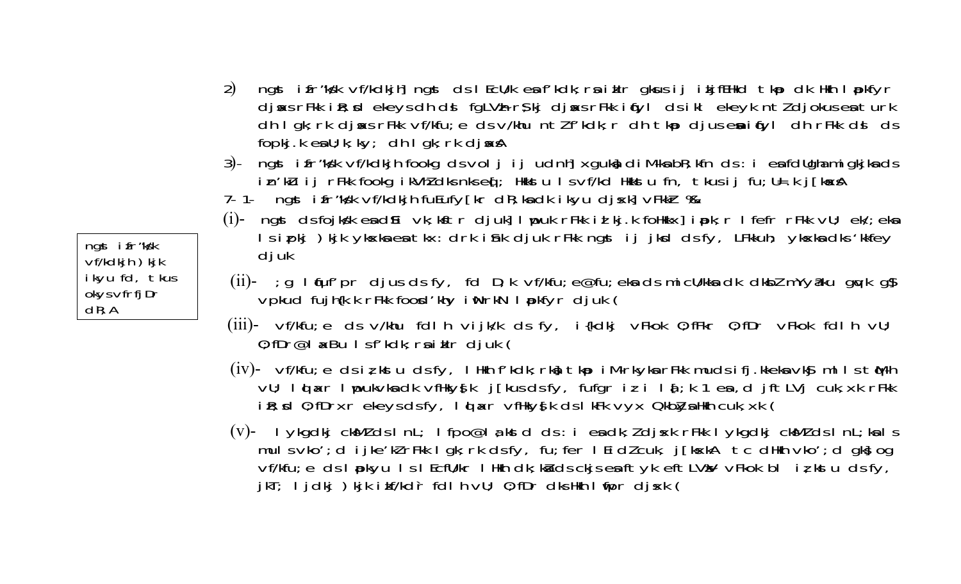- ngst ifr"ks'k vf/kdkjh] ngst ds I EcU/k en f'kdk; rn iklr gkus ij ikjfEHkd tkp dk Hkh I pkfyr  $(2)$ djsks rFkk i R; xd ekeys dh ds fgLVh r\$kj djsks rFkk i fyl ds i kl ekeyk ntldjokus enturk dh I gk; rk djsks rFkk vf/kfu; e ds v/khu ntl f'kdk; r dh tkp djus esitfyl dh rFkk dsl ds  $f$ opkj.k esil; k; k $y$ ; dh I qk; rk dj $f$ x $f$ A
- ngst i fr "ks'k vf/kdkjh fookg ds voljijudnh] xguka di M-ka bR; kfn ds : i ea fdllgha migkjka ds  $3)$ in'klu ij rFkk fookg ikVhldks nks eq ; Hikkstu Isvf/kd Hkkstu fn, tkus ij fu;U=.k j[kxA
- 7- 1- ngst i fr"ks'k vf/kdkjh fuEufy[kr dR; ka dk i kyu dj sk] vFkkir %
- (i)- ngst ds fojksk endli vk; kstr djuk] I puk rFkk id kj.k follkkx] ipk; r I fefr rFkk vU; ek/; ekn Isipki) kik ykska ea tkx: drk ishk djuk rFkk ngst ij jksd dsfy, LFkkuh; ykska dks 'kkfey djuk
- (ii)- ; g I fuf' pr djus ds fy, fd D; k vf/kfu; e@fu; eka ds mi cU/kka dk dkbl mYy $\partial$ ku guzk g $\int$ vpkud fujh{k.k rFkk food'khy iWrkN I pkfyr djuk (
- $(iii)$  vf/kfu; e ds v/khu fdlh vijk/k ds fy, i $\{kdkj$  vFkok 0; fFkr 0; fDr vFkok fdlh vU;  $0$ ; fDr@l  $\alpha$ Bu Isf'kdk; raiklr djuk (
- (iv)- vf/kfu; e ds iz kstu ds fy, I Hkh f'kdk; rkd; tkp i M-rkyka rFkk muds ifj.kkeka vkg ml I s tM-h vU; I d a r I upukvka dk vfilkys[k j [kus ds fy, fufgr iz i I a[; k 1 ea, d j f t LVj cuk, xk r F kk i R; x 0; fDrxr ekeys ds fy, 1 d ar vfHkys k ds I kFk vyx Okblys Hkh cuk, xk (
- (v)- I ykgdkj ckMl ds I nL; I fpo@l a kstd ds : i ea dk; l dj sk r Fkk I ykgdkj ckMl ds I nL; ka I s mulsvko'; dijke'kl rFkk I gk; rk dsfy, fu; fer I Ei dl cuk, j [kxkA tc dHkh vko'; d gk} og vf/kfu; e ds I pokyu I s I Ecflu/kr I Hkh dk; ku ds ckjs ex ftyk eft LVaV vFkok bl i z kstu ds fy, jkT; ljdkj)kjk i kf/kdr fdl h vU; 0; fDr dks Hkh l fipr djsk (

ngst ifr"kyk  $\nabla f/kdkih$ ) kj $k$ ikyu fd, tkus okys vfrfjDr  $dR: A$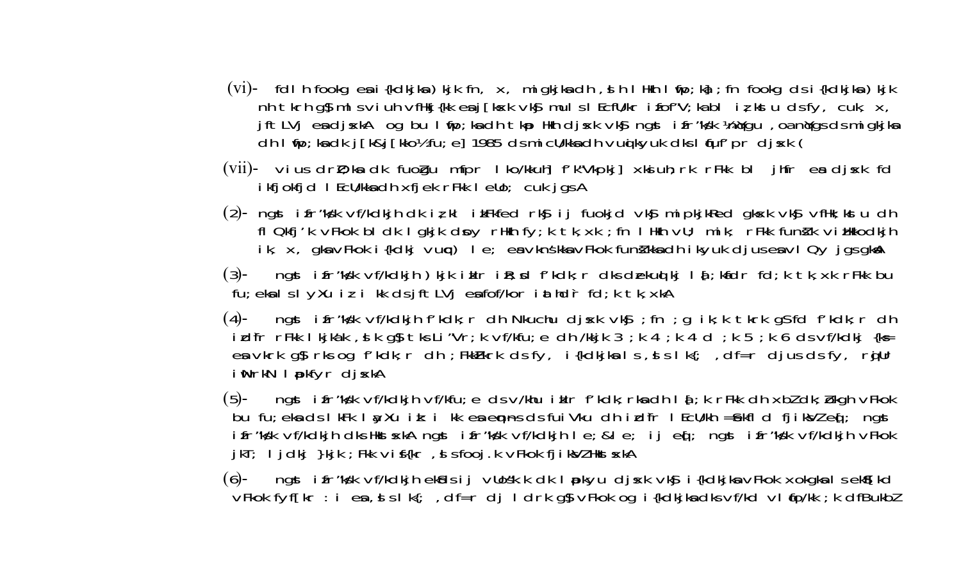- (vi)- fdl h fookg en i {kdkjkn } kjk fn, x, migkjkn dh, s h l Hkh l fip; kj ; fn fookg ds i {kdkjkn } kjk nh tkrh g $\int$  mlsviuh vfHkj{kk enj[kxk vk $\int$  mulslEcfU/kr ifof"V; kabl iz kstu dsfy, cuk, x, jftLVj endjskA og bullunp; kadhtkp Hkh djsk vkg ngst ifr "kyk knivgu, oa nivgs ds migkjkn dh I mp; ka dk j [k&j [kko½ fu; e] 1985 ds mi cU/kka dh vuq kyuk dks I nuf' pr dj sk (
- (vii)- vius drD; ka dk fuogu mfpr I ko/kkuh] f'k"Vkpkj] xksiuh; rk rFkk bl jhfr es djsk fd ikfjokfjd I EcU/kkadh xfjek rFkk I eUo; cuk jgs A
- (2)- ngst ifr"ks'k vf/kdkjh dk iz kl ikFkfed rksj ij fuokjd vksj mipkjkRed gksk vksj vfHk; kstu dh fl Qkfj'k vFkok bl dk l gkjk doy rHkh fy;k tk, xk ; fn l Hkh vU; mik; rFkk funik vi Hkkodkjh ik, x, gka vFkok i {kdkj vurc} le; ea vknskka vFkok fundkka dh ikyuk djus ea vl Qy jgs gka
- (3)- ngst ifr"ks'k vf/kdkjh) kjk iklr i $R$ ; sd f'kdk; r dks dækud kj la[; kafdr fd; k tk, xk rFkk bu fu; ekalslyXu iz i kk dsjftLVj eafof/kor iathdrfd; k tk, xkA
- ngst ifr"kyk vf/kdkjh f'kdk; r dh Nkuchu djsk vky; fn ; g ik; k tkrk gs fd f'kdk; r dh  $(4)$ idfr rFkk I kjkak, slk q\$tks Li"Vr; k vf/kfu; e dh /kkjk 3; k 4; k 4 d; k 5; k 6 ds vf/kdkj {k= en vkrk gij rks og f'kdk; r dh; FkkFkrk ds fy, i {kdkjkn ls, ds lk{; df=r djus ds fy, rgjUr i NrkN I pkfyr dj skA
- ngst ifr"ks'k vf/kdkjh vf/kfu; e ds v/khu iklr f'kdk; rkadh la[; k rFkk dh xbl dk; bkgh vFkok  $(5)$ bu fu; eka ds I kFk I ay Xu i k: i kk ea emps ds fui Vku dh i difr I EcU/kh =  $\frac{1}{2}$ kfl d fjiksVl eq[; ngst ifr"ks'k vf/kdkjh dks HkstskA ngst ifr"ks'k vf/kdkjh I e; &I e; ij eq[; ngst ifr"ks'k vf/kdkjh vFkok jkT; ljdkj }kjk ; Fkk vif{kr, si sfooj.k vFkok fjiksVZ Hkst sxkA
- ngst i fr"ks'k vf/kdkjh eksds i j vllos'k.k dk I pokyu djsk vksj i {kdkjka vFkok xokgka I s eksf[kd  $(6)$ vFkok fyf[kr : i es., s s l k{; , df=r dj l drk q\$ vFkok og i {kdkjksdksvf/kd vl (fo/kk; k dfBukbl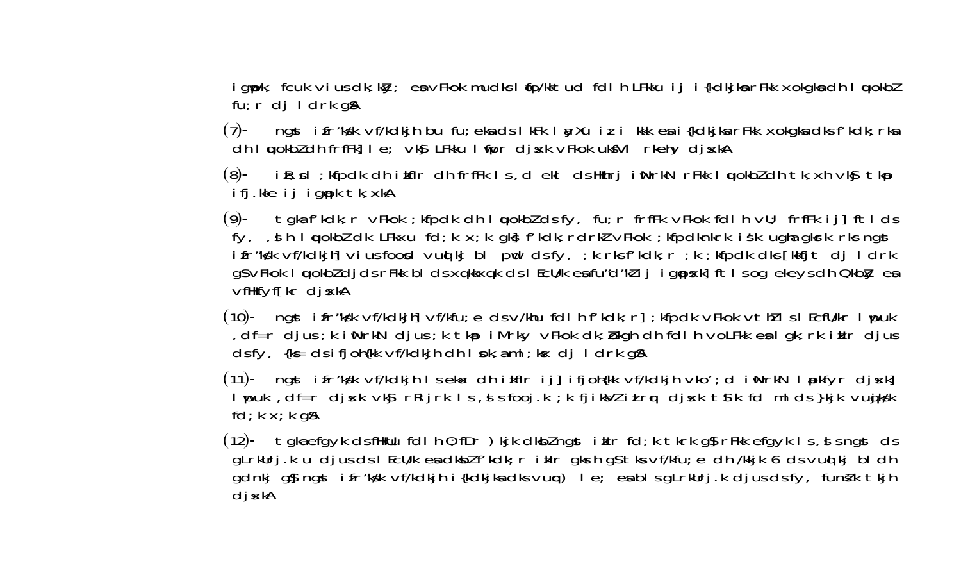igypk, fcuk vius dk; ky; en vFkok mudks I (fo/kktud fdlh LFkku ij i{kdkjkn rFkk xokgkndh I wokbl  $fu; r df$  I drk g $\beta$ 

(7)- ngst i fr"ks'k vf/kdkjh bu fu; eka ds I kFk I ayXu i z i kkk ea i {kdkjka rFkk xokgka dks f'kdk; rka dh I wokbl dh frfFk] I e; vkg LFkku I mpr dj xk vFkok ukfVI rkehy dj xkA

(8)- iR; sd; kfpdk dhikflr dhfrfFk Is, dekl ds Hkhrji WhrkN rFkk I wokbldhtk, xh vkg tkp ifj.kke ij igopk tk, xkA

(9)- tgka f'kdk; r vFkok; kfpdk dh I wokbl ds fy, fu; r frfFk vFkok fdl h vU; frfFk ij] ftl ds fy, , s h I wokbl dk LFkxu fd; k x; k gks f'kdk; rdrkl vFkok ; kfpdknkrk is k ugha gksrk rks ngst ifr"ky'k vf/kdkjh] viusfoord vud kj bl pud dsfy, ;k rksf'kdk;r ;k ;kfpdk dks[kkfjt dj ldrk gs vFkok I wokbldjds rFkk blds xqkkxqk ds I EcU/k en fu"d"klij igopskl ftls og ekeys dh Okbly en vfHkfyf[kr dj xkA

(10)-  $\frac{10}{10}$  ngst if r''kg'k vf/kdkjh $\frac{10}{10}$  vf/kfu; e ds v/khu fdl h f'kdk; r $\frac{1}{10}$ ; kfpdk vFkok vth $\frac{1}{10}$  s I Ecfll/kr I youk df=r djus; k iWhrkN djus; k tkp iMhry vFkok dk; bkgh dh fdlh voLFkk eslgk; rk ikln djus, ds fy, {k = ds i fj oh{kk vf/kdkjh dh | pk, a mi ; k x dj | drk q \$

(11)- ngst ifr"ks'k vf/kdkjh Iseka< dh ikflr ij] ifjoh{kk vf/kdkjh vko'; d iWrkN Ipkfyr djs<k] lupuk ,df=r djsk vk§r Rijrk Is,sl fooj.k ;k fjiksVlitrqr djsk t§k fd mlds}kjk vugiksK  $fd$ ;  $k \times$ ;  $k$  q $\Re$ 

(12)- tgka efgyk ds filklu fdl h 0; fDr ) kjk dkbl ngst i klr fd; k tkrk g\$rFkk efgyk I s, s s ngst ds gLrkUrj.Ku djus ds I EcU/k en dkbl f'kdk; r i klr gkrh gs tks vf/kfu; e dh /kkjk 6 ds vud kj bl dh gdnkj g\$ ngst ifr"ks'k vf/kdkjh i{kdkjkadks vurc) le; eabls gLrkUrj.k djus ds fy, funkk tkjh dj xkA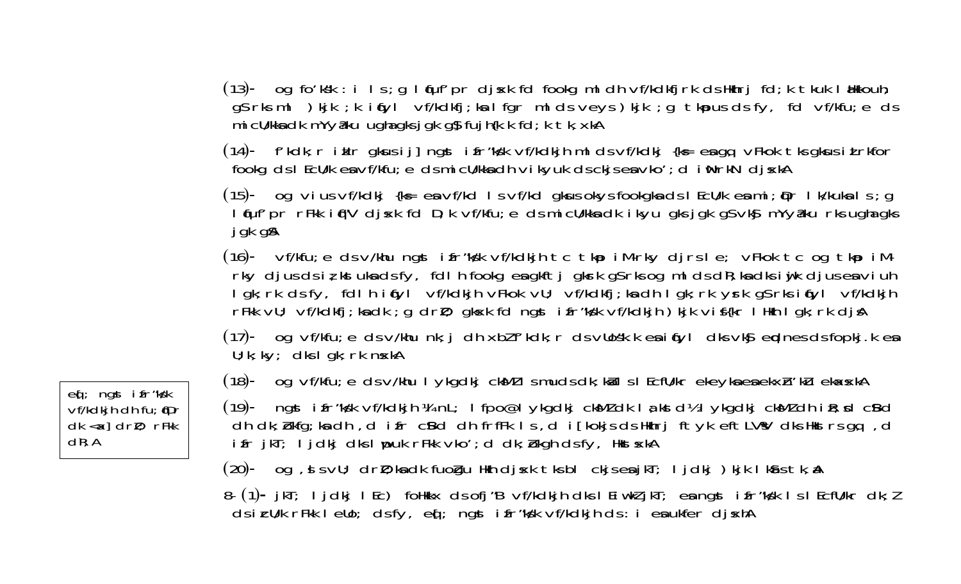(13)- og fo'ksk : i ls; g læuf'pr disk fd fookg mldh vf/kdkfirk ds Hkhri fd; k tkuk lækkouh; gs rks ml ) kjk ; k i (fyl vf/kdkfj; ka l fgr ml ds veys) kjk ; g tkpus ds fy, fd vf/kfu; e ds mi cU/kka dk mYyaku ugha gks j gk gy fujh{k.k fd; k tk, xkA

 $(14)$ - f'kdk; r i klr gkus i j] ngst i fr"ks'k vf/kdkjh ml ds vf/kdkj {k = engq vFkok tks gkus i Lrkfor fookg ds I EcU/k en vf/kfu; e ds mi cU/kkn dh vikyuk ds ckjs en vko'; d i NrkN dj skA

(15)- og vius vf/kdkj {k= en vf/kd I s vf/kd gkus okys fookgknds I EcU/k en mi; pr I k/kukn I s; g I fuf' pr rFkk i f"V dj sk fd D; k vf/kfu; e ds mi cU/kka dk i kyu gks j gk g\$ vk\$ mYyaku rks ugha gks jgk g\$

 $(16)$ - vf/kfu; e ds v/khu ngst ifr"kgk vf/kdkjh tc tkp iM-rky djrs le; vFkok tc og tkp iMrky djus ds iz kstuka ds fy, fdl h fookg ea gkftj gkrk gS rks og ml ds dR; ka dks i yjk djus ea viuh lgk; rk ds fy, fdl h i fyl vf/kdkjh vFkok vU; vf/kdkfj; ka dh lgk; rk yrk g\$ rks i fyl vf/kdkjh rFkk vU; vf/kdkfj; kadk ; g drl); gksk fd ngst i fr"ksk vf/kdkjh) kjk vi f{kr l Hkh I gk; rk djA

 $(17)$ - og vf/kfu; e ds v/khu nk; i dh xbl f'kdk; r ds vllosk.k en i fyl dks vk $\mathbf s$  erdnes ds fopkj.k en  $U; k; k$   $\vee$ ; clks I gk; rk n $\times$ kA

 $(18)$ - og vf/kfu; e ds v/khu I ykgdkj ck $Ml$  I smuds dk; kå I s I Ecfll/kr ekeyka ea ekxh'ku ekasska

ngst i fr "kýk vf/kdkjh ¼ nL; l fpo@l ykgdkj ckMl dk l a kst d½ l ykgdkj ckMl dh i R; sd cBd  $(19)$ dh dk; bkfg; ka dh, difr cBd dhfrfFk Is, di[kokjs ds Hkhrj ftyk eftLV'sV dks Hkstrs gq, d ifr jkT; ljdkj dks lupuk rFkk vko'; d dk; bkgh dsfy, Hkst skA

(20)- og , si sv∪; drD; ka dk fuogu Hkh djskk tksbl ckjseajkT; ljdkj )kjk lkastk, a (

8- (1)- jkT; ljdkj lEc) folkkx ds ofj "B vf/kdkjh dks lEiwkljkT; en ngst ifr"ks'k ls lEcfU/kr dk; l dsicU/k rFkk leUo; dsfy, eq[; ngst ifr"ks'k vf/kdkjh ds: i ensukfer dj skhA

ed; ngst ifr"kyk  $Vf/kdki\hbar$  dh fu; (Dr  $dk \lll$  dr $l$ ; rFkk  $dR$ ; A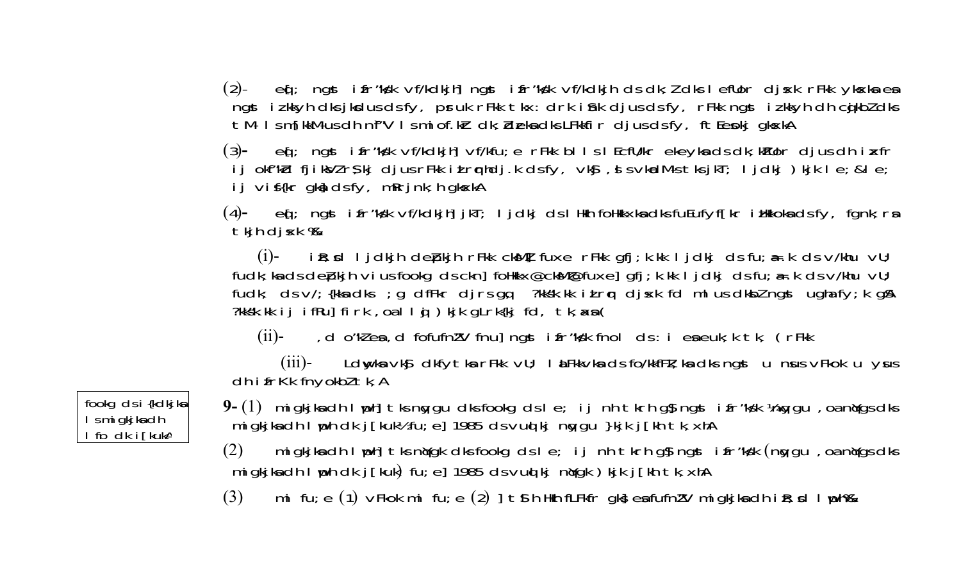$(2)$ ed; ngst ifr"kyk vf/kdkihl ngst ifr"kyk vf/kdkih ds dk; l dks l efllor disk rFkk ykskaea ngst izkkyh dks jksdus ds fy, pruk rFkk tkx: drk istk djus ds fy, rFkk ngst izkkyh dh cjkbl dks tM-Ism[kkM-us dh nf"V Ismi of.kir dk; ideka dks LFkkfir djus dsfy, ft Eepkj gkskA

eq: ngst ifr"kyk vf/kdkjh] vf/kfu; e rFkk blls lEcfU/kr ekeykads dk; kTUor djus dh iz fr  $(3)$ ij okfrkid fjiksVlrsikj djusrFkk itruphdj.k dsfy, vksj, sl svkadM-stksjkT; ljdkj)kjk le; & le; ij vi $f\{kr$  gka dsfy, m $Rri$ nk; h gk $xkA$ 

 $(4)$ - eq[; ngst ifr"ks'k vf/kdkjh] jkT; ljdkj ds lHkh foHkkxkadksfuEufyf[kr iHkkokadsfy, fgnk; ra tkjh djxk %

(i)- iR; xd I jdkjh depokjh rFkk ckM] fuxe rFkk gfj; k.kk I jdkj ds fu; a=.k ds v/khu vU; fudk; ka ds de pkj h vi us fookg ds ckn] follkkx@ckM@fuxe] gfj; k.kk I j dkj ds fu; a= k ds v/khu vU; fudk; ds v/; {kka dks ; g dfFkr djrs gq ?kksk.kk i Lrq djxk fd ml us dkbl ngst ugha fy; k g\$ ?kksk.kk ij ifRu] firk, oallg ) kjk gLrk{kj fd, tk, axa(

, d o"kles, d fofufnl'V fnu] ngst ifr"ks'k fnol ds : i eseuk; k tk, (rFkk  $(ii)$ -

Ldwyka vký dkfytka rFkk vU; litFkkvka dsifo/kkfFk; ka dksingst u nius vFkok u yus  $(iii)$ dh ifrKk fnyokbl tk, A

fookg ds i {kdkjkg} I s mi gkj ka dh I fo dk i [kukA

9-(1) migkjka dh I uph] tks naygu dks fookg ds I e; ij nh tkrh g\$ ngst ifr"ks'k ¼naygu, oa naygs dks migkjkadh I uph dk j [kuk½ fu; e] 1985 ds vud kj noygu }kjk j [kh tk, xhA

migkjka dh I uph] tks nyak dks fookg ds I e; ij nh tkrh gs ngst ifr"ksk (ngygu, oa nyas dks  $(2)$ migkjka dh I uph dk j [kuk) fu; e] 1985 ds vud kj norgk ) kjk j [kh tk, xhA

mi fu; e (1)  $\vee$ Fkok mi fu; e (2) d t s h Hkh fLFkfr qks en fufnl'V miqkjkn dh i R; d l uph $\%$  $(3)$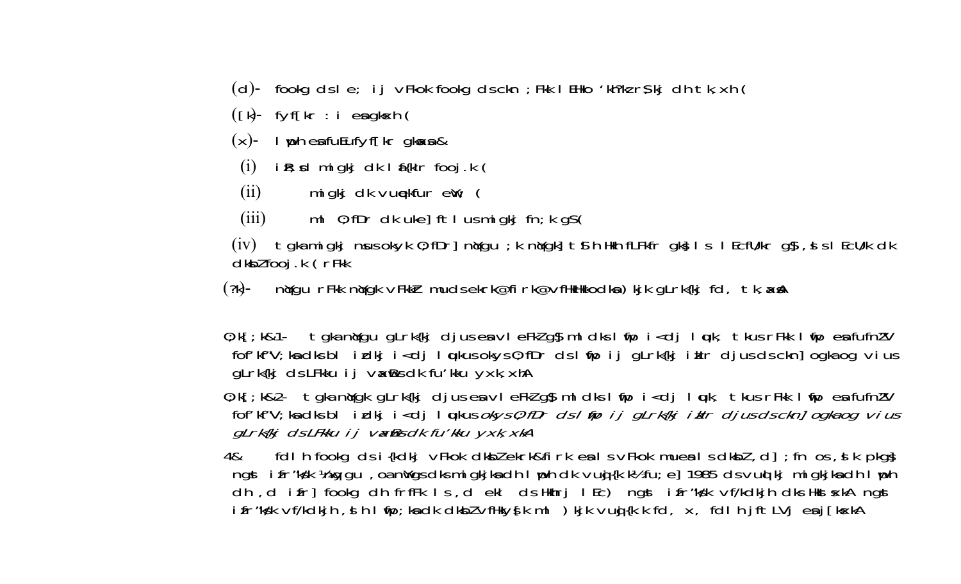- (d)- fookg ds le; ij vFkok fookg ds ckn; Fkk I EHko 'kh?kz r\$kj dh tk, xh (
- $([k]$  fyf $[kr : i \text{ es } g$ kxh $[$
- $(x)$  luph ensolution of the qkoss &
- $i \mathbb{R}$ ; x migkj dk l  $f$ {klr fooj.k (  $(i)$
- migkj dk vunekfur  $ew$ ; (  $(ii)$
- ml  $0$ ; fDr dk uke] ftl us migkj fn; k g $S($  $(iii)$

(iv) tgka migkj nusokyk 0; fDr] nydgu ; k nydgk] ts h Hkh fLFkfr gks l s l EcfU/kr gs , s s l EcU/k dk dkbl fooj .k (rFkk

nýgu rFkk nýgk vFkkir mudsekrk@firk@vfHkHkkodka)kjk gLrk{kj fd, tk, xxA  $(?k)$ -

 $0; k[$ ; k&1- tgka n $\gamma$ gu g<code>Lrk</code>{kj djuseavleFklg $\beta$  mldks lfip i<dj lquk, tkus rFkk lfip ea fufn $\gamma$ V fof'kf"V; ka dks blidkji<djlqukus okys 0; fDr ds ltipijgLrk{kjiklr djus ds ckn] ogka og vius gLrk{kj ds LFkku i j vxBs dk fu'kku yxk, xhA

0; k[; k&2- tgka n\gk gLrk{kj djus es vl eFkl g\$ ml dks l ifp i<dj l µk, tkus rFkk l ifp es fufnl'V fof'kf"V; ka dks bl i dkj i <dj l ukus okys 0; fDr ds l tip i j gLrk{kj i klr djus ds ckn] ogka og vius gLrk{kj dsLFkku i j vadBs dk fu'kku yxk, xkA

fdl h fookg ds i {kdkj vFkok dkbl ekrk&firk en I s vFkok muent I s dkbl, d]; fn os, d k pkgg 4& ngst i fr "ks'k ½ ng gu, oa nwgs dks migkjka dh I yoh dk vug {k.k½ fu; e] 1985 ds vud kj migkjka dh I yoh dh, d ifr] fookg dh frfFk Is, d ekl ds Hkhrj IEc) ngst ifr Kyk vf/kdkjh dks Hkst skA ngst ifr"ks'k vf/kdkjh, si hiling; kadki dkbl vfHkys[kml ) kjk vugi{k.k fd, x, fdlhjftLVjeaj[kskA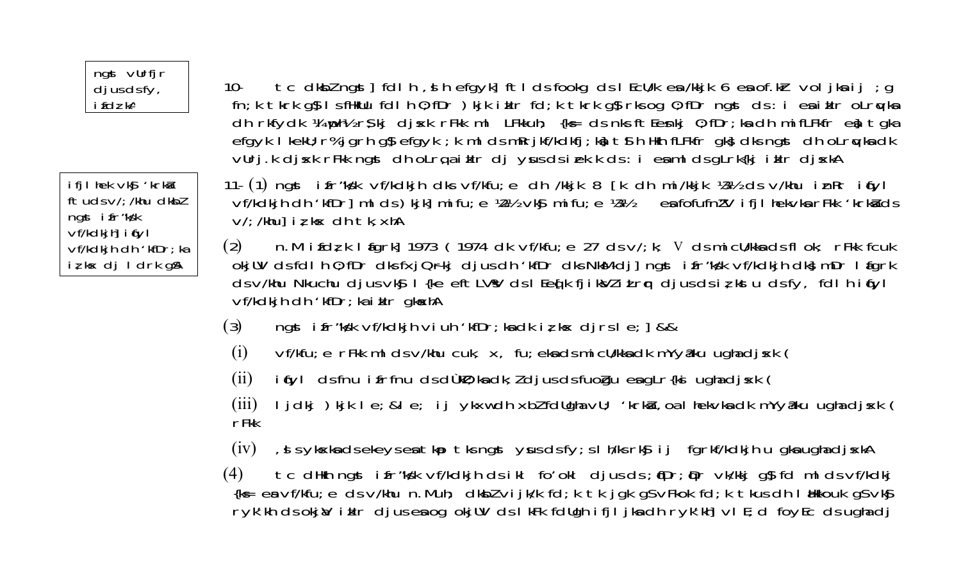#### ngst vurfjr  $d$  ius ds fv,  $i$   $\bar{f}$ d $i$  kA

ifilhek vkg 'krka  $ftudsV$ : /khu dkbl ngst ifr"kyk  $Vf/kdkih$  if  $Vl$  $\nu$ f/kdkjh dh'kf $Dr$ ; ka iz kx dj I drk q\$

10 tc dkblngst [dlh, shefqyk] ftlds fookg ds | EcU/k en /kkjk 6 en of.kr voljknij; g fn; k tkrk g§lsfikUu fdlh 0; fDr ) kjk i klr fd; k tkrk g§rks og 0; fDr ngst ds: i esiklr oLrqvks dh rkfydk ¼ uph½ r\$kj djsk rFkk ml LFkkuh; {ks= ds nks ftEenkj 0; fDr; ka dh mifLFkfr en tgka efgyk I kekU; r% jgrh g\$ efgyk ; k ml ds mRrjkf/kdkfj; k} t 9 h Hkh fLFkfr gk} dks ngst dh oLrqvka dk vlirj.k dj sk r Fik ngst dho Lrq a i klr dj yus ds i ek.k ds : i e a m l ds g Lrk {kj i klr dj skA

11- (1) ngst ifr"kyk vf/kdkjh dks vf/kfu; e dh /kkjk 8 [k dh mi/kkjk ¼½ ds v/khu inRr inyl vf/kdkjh dh 'kfDr] ml ds ) kjk] mi fu; e ½ vkg mi fu; e ½ enfofufn!'V i fjl hekvkn rFkk 'krknd'ds  $V'/$ : /khul iz k $x$  dh tk, xhA

n.M ifdz k I fark] 1973 (1974 dk vf/kfu; e 27 ds v/; k; v ds mi cl/kka ds fl ok; rFkk fcuk  $(2)$ okjUV ds fdl h 0; fDr dks fxjQrkj djus dh 'kfDr dks NkM-dj] ngst i fr "ks'k vf/kdkjh dk} mDr I figrk ds v/khu Nkuchu djus vký  $\overline{I}$  {ke eftLVV ds l Eeq[k fjikVliLrq djus ds iz kstu ds fy, fdl h iq yl vf/kdkjh dh 'kfDr; ka i klr gkaxhA

- $(3)$ ngst if r"ky'k vf/kdkjh viuh 'kf $Dr$ ; kadk iz k $x$  djrs le;  $\frac{1}{2}$  & &
- vf/kfu; e rFkk ml ds v/khu cuk, x, fu; ekads mi cU/kkadk mYy&ku ughadj sk (  $(i)$
- i (yl ds fnu i frfnu ds dùkū); ka dk; l djus ds fuogu ea gLr{ki ugha dj xk (  $(ii)$
- ljdkj) kjk le; ≤ ij ykxw dh xblfdllgha vll; 'krkå, oa lhekvka dk mYyaku ugha djxk (  $(iii)$  $r$ Fkk
- , si s ykska ds ekeys en tkp tks ngst yus ds fy; s I h/ks rksj ij fgrkf/kdkjh u gkn ugha djskA  $(iv)$

tc dHkh ngst ifr"ks'k vf/kdkjh ds ikl fo'okl djus ds; (Dr; Dr vk/kkj g\$ fd ml ds vf/kdkj  $(4)$ {k = ea vf/kfu; e ds v/khu n. Muh; dkbl vijk/k fd; k tk jgk gs vFkok fd; k tkus dh I alkkouk gs vkg ryk'kh ds okjal i klr djus en og okjUV ds I kFk fdUgh i fjI jkn dh ryk'kh] vl E; d foyEc ds ugha dj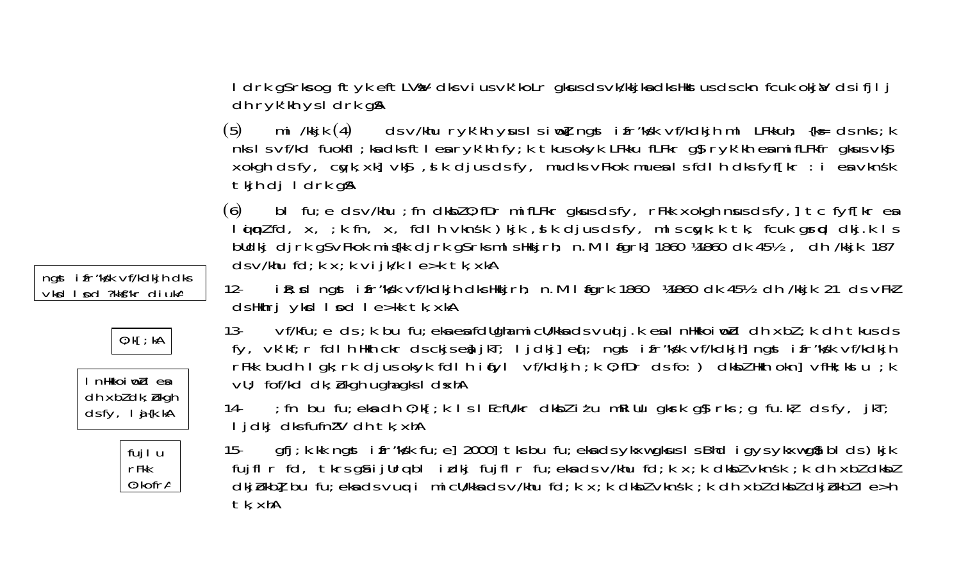ngst i fr "ky'k vf/kdkjh dks VKSI I nd ?kkf"kr diukA







I drk qs rks og ftyk eft LVsV dks vius vk'kolr gkus ds vk/kkjka dks Hkst us ds ckn fcuk okjaV ds i fj lj  $dh$  ryk' $kh$  ys  $idrk$  g $A$ 

(5) mi/kkjk(4) dsv/khuryk/khyuslsinolngstifr/ks/kvf/kdkjhml LFkkuh; {k= dsnks;k nks I s vf/kd fuokfl; ka dks ft I ea ryk'kh fy; k tkus okyk LFkku fLFkr g\$ ryk'kh ea mifLFkfr gkus vk\$ xokgh ds fy, cayk, xk] vkg, d k djus ds fy, mudks vFkok mues I s fdl h dks fyf[kr : i es vknsk tkjh dj I drk gå

bl fu; e ds  $v$ /khu; fn dkbl $0$ ; fDr mifLFkr gkus ds fy, rFkk xokgh nus ds fy, t c fyf[kr en  $(6)$ loin td, x, ; k fn, x, fdl h vknsk) kjk, slk djusds fy, mlscoyk; k tk, fcukgropd dkj.k ls bldkj djrk g\$vFkok mis(kk djrk g\$rksml sHkkjrh; n.M I fgrk] 1860 ¼1860 dk 45½, dh /kkjk 187  $ds$  v/khu fd; k x; k vijk/k l e>k tk, xkA

 $12$  $i\$  R; cd ngst if r"ky'k vf/kdkjh dks Hkkjrh; n.M If grk 1860 ¼1860 dk 45½ dh /kkjk 21 ds vFkl ds Hkhrj ykd I nd I e>kk tk, xkA

vf/kfu; e ds ; k bu fu; eka ea fdllgha mi cll/kka ds vud j .k ea I nHkkoi wid dh xbl ; k dh tkus ds  $13$ fy, vk'kf; r fdl h Hkh ckr ds ckjs eg jkT; l jdkj] eq[; ngst ifr"ks'k vf/kdkjh] ngst ifr"ks'k vf/kdkjh rFkk budh I gk; rk djus okyk fdl h i fyl vf/kdkjh; k 0; fDr ds fo: ) dkbl Hkh okn] vfHk; kstu ; k VU; fof/kd dk; bkgh ugha gks I dxhA

; fn bu fu; eka dh  $0; k[; k]$  is l EcfU/kr dkbl it u mRillu gkrk g $\int$ rks; g fu.kł ds fy, jkT; 14-I j dkj dks fufn!'V dh tk, xhA

gfj; k. kk ngst i fr "ky'k fu; e] 2000] tks bu fu; eka ds ykxw gkus I s Bhd i gys ykxw gå bl ds ) kjk  $15$ fujfl r fd, tkrs gå i jurq bl i dkj fujfl r fu; eka ds v/khu fd; k x; k dkbl vknsk; k dh xbl dkbl dkjbkb] bu fu; eka ds vug i micll/kka ds v/khu fd; k x; k dkbl vknsk; k dh xbl dkbl dkjbkbl l e>h tk, xhA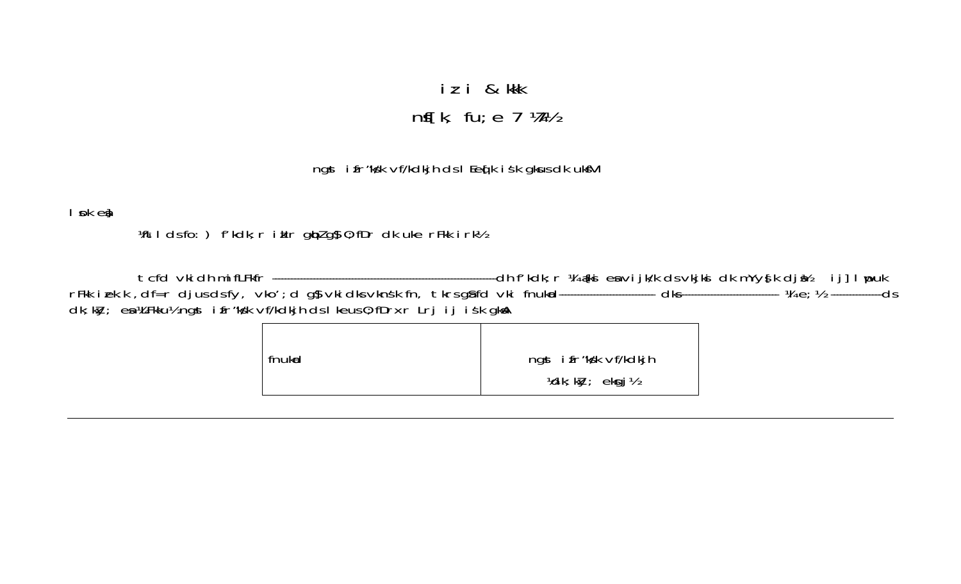# iz i & kkk nf[k, fu;  $e$  7  $W$

### ngst i fr"ks'k vf/kdkjh ds I Eeq[k i sk gkus dk ukstVI

l pk ej

Witldsfo: ) f'kdk; r iklr giplg\$ 0; fDr dk uke rFkk i rk½

| fnukid | ngst ifr"ks'k vf/kdkjh                                 |
|--------|--------------------------------------------------------|
|        | $\mathcal{V}$ dk; k $\mathcal{V}$ ; ekgj $\mathcal{V}$ |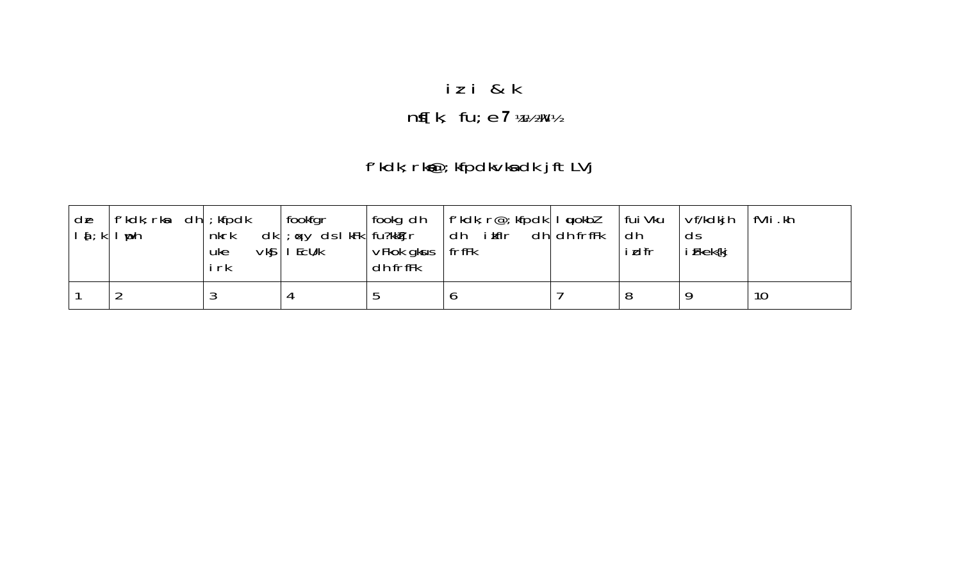# iz i & k  $\mathsf{nf}[k, \text{ fu}; e \mathsf{z} \text{ w} \mathsf{w} \mathsf{w}]$

## f'kdk; rk@; kfpdkvka dk jftLVj

| $d\mathbf{e}$<br>$I_{\alpha}$ ; k | f'kdk; rka<br>dh<br>$\mathsf{I}$ uph | $;$ kfpdk<br>nkrk<br>$V$ kg  <br>uke<br>i rk | fookfgr<br>$dk$ ; $\alpha y$ ds I kFk   fu?kk $f$ j r<br>EcU/k | fookg dh<br>$V$ Fkok gk $us$<br>dh frffk | $ f'$ kdk; $r@$ ; kfpdk $ I \text{ u}$ okbl<br>i kflr<br>dh<br>frfFk | $dh$ dh frf $Fk$ | fui Vku<br>dh<br>idfr | Vf/kdkih<br>ds<br>i Fkek{kj | fVli.kh |
|-----------------------------------|--------------------------------------|----------------------------------------------|----------------------------------------------------------------|------------------------------------------|----------------------------------------------------------------------|------------------|-----------------------|-----------------------------|---------|
|                                   |                                      |                                              |                                                                |                                          |                                                                      |                  | 8                     |                             | 10      |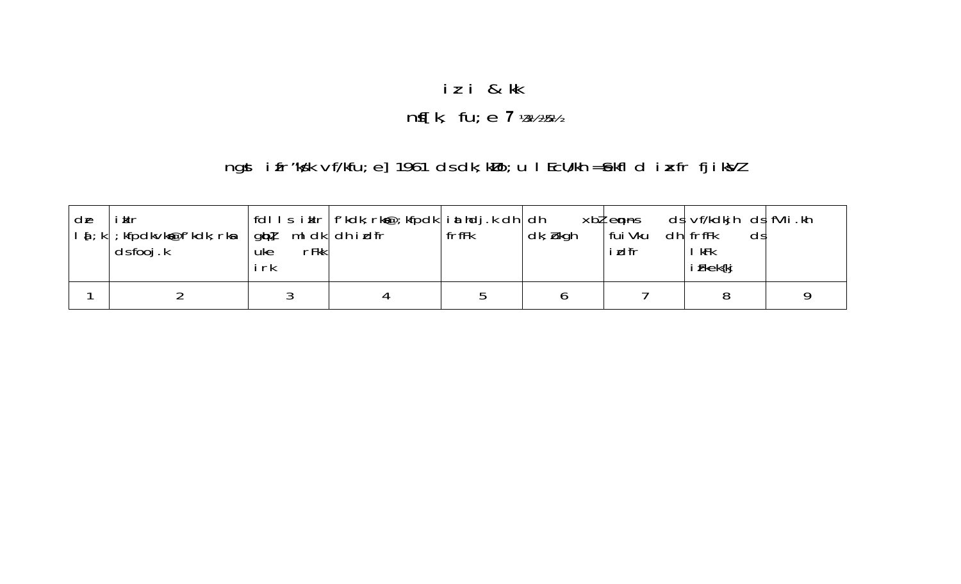# iz i & kk

# $nf[k, fu; e 7$  % % %

## ngst i fr"ks'k vf/kfu; e] 1961 ds dk; kllo; u I Ecll/kh = £kfl d i xfr fj i ksVl

| de | iklr<br>$\mid \mathbf{a} \mid$ ; k $\mid$ ; kfpdk $\vee$ k $\mathbf{a}$ ef' kdk; rk $\mathbf{a}$<br>$\mathsf{d}$ s fooj.k | $ g\phi $ mldk $ dh$ idfr<br>rFkk<br>uke<br>i rk | ' fdl I s`i kIr   f'kdk; rk@; kfpdk   i athdj.k dh   dh | frfFk | $dk; b$ kgh | $xbl$ enns<br>fui Vku<br><b>i</b> dir | ds  vf/kdkjh ds  fVIi .kh<br>$dh$   frfFk<br>ds<br>kFk<br>i Fkek{kj |  |
|----|---------------------------------------------------------------------------------------------------------------------------|--------------------------------------------------|---------------------------------------------------------|-------|-------------|---------------------------------------|---------------------------------------------------------------------|--|
|    |                                                                                                                           |                                                  |                                                         |       |             |                                       |                                                                     |  |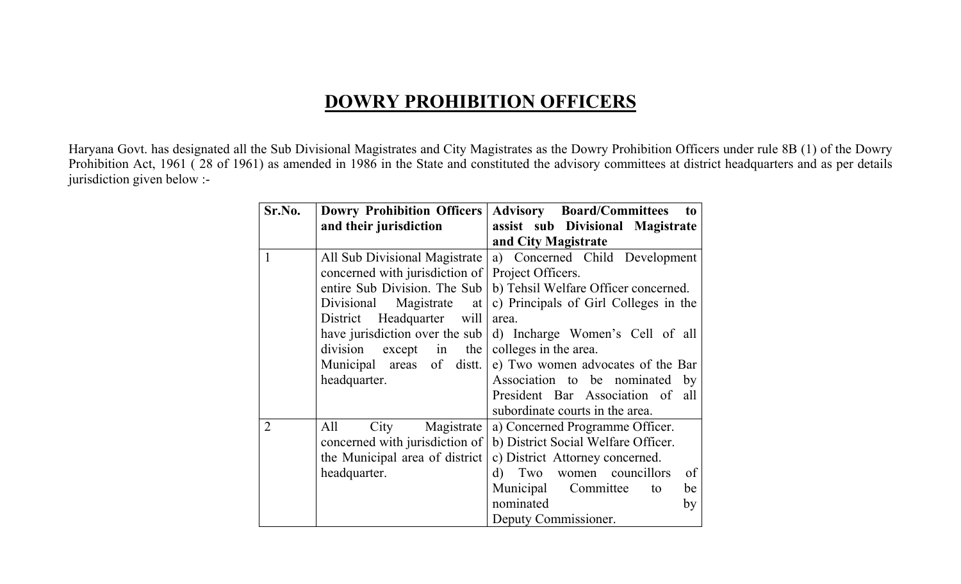### **DOWRY PROHIBITION OFFICERS**

Haryana Govt. has designated all the Sub Divisional Magistrates and City Magistrates as the Dowry Prohibition Officers under rule 8B (1) of the Dowry Prohibition Act, 1961 (28 of 1961) as amended in 1986 in the State and constituted the advisory committees at district headquarters and as per details jurisdiction given below :-

| Sr.No.         | <b>Dowry Prohibition Officers</b> | <b>Advisory</b> Board/Committees<br>to         |
|----------------|-----------------------------------|------------------------------------------------|
|                | and their jurisdiction            | assist sub Divisional Magistrate               |
|                |                                   | and City Magistrate                            |
| 1              | All Sub Divisional Magistrate     | a) Concerned Child Development                 |
|                | concerned with jurisdiction of    | Project Officers.                              |
|                | entire Sub Division. The Sub      | b) Tehsil Welfare Officer concerned.           |
|                | Divisional<br>Magistrate<br>at    | c) Principals of Girl Colleges in the          |
|                | District Headquarter will         | area.                                          |
|                | have jurisdiction over the sub    | d) Incharge Women's Cell of all                |
|                | division<br>$except$ in<br>the    | colleges in the area.                          |
|                | Municipal areas of distt.         | e) Two women advocates of the Bar              |
|                | headquarter.                      | Association to be nominated by                 |
|                |                                   | President Bar Association of all               |
|                |                                   | subordinate courts in the area.                |
| $\overline{2}$ | All<br>City<br>Magistrate         | a) Concerned Programme Officer.                |
|                | concerned with jurisdiction of    | b) District Social Welfare Officer.            |
|                | the Municipal area of district    | c) District Attorney concerned.                |
|                | headquarter.                      | $\mathbf{d}$<br>women councillors<br>Two<br>of |
|                |                                   | Municipal Committee<br>be<br>to                |
|                |                                   | nominated<br>by                                |
|                |                                   | Deputy Commissioner.                           |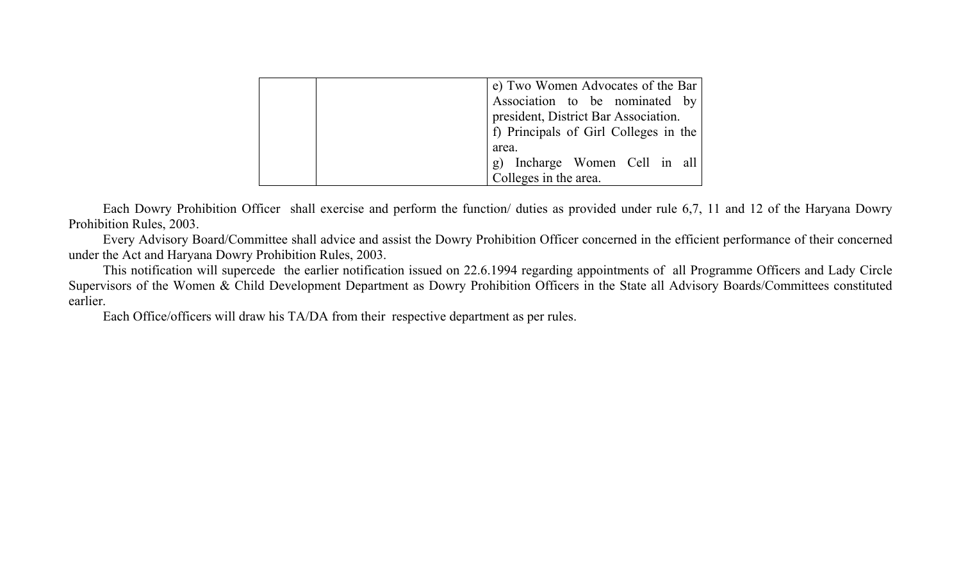|  | e) Two Women Advocates of the Bar     |
|--|---------------------------------------|
|  | Association to be nominated by        |
|  | president, District Bar Association.  |
|  | f) Principals of Girl Colleges in the |
|  | area.                                 |
|  | g) Incharge Women Cell in all         |
|  | Colleges in the area.                 |

 Each Dowry Prohibition Officer shall exercise and perform the function/ duties as provided under rule 6,7, 11 and 12 of the Haryana Dowry Prohibition Rules, 2003.

 Every Advisory Board/Committee shall advice and assist the Dowry Prohibition Officer concerned in the efficient performance of their concerned under the Act and Haryana Dowry Prohibition Rules, 2003.

 This notification will supercede the earlier notification issued on 22.6.1994 regarding appointments of all Programme Officers and Lady Circle Supervisors of the Women & Child Development Department as Dowry Prohibition Officers in the State all Advisory Boards/Committees constituted earlier.

Each Office/officers will draw his TA/DA from their respective department as per rules.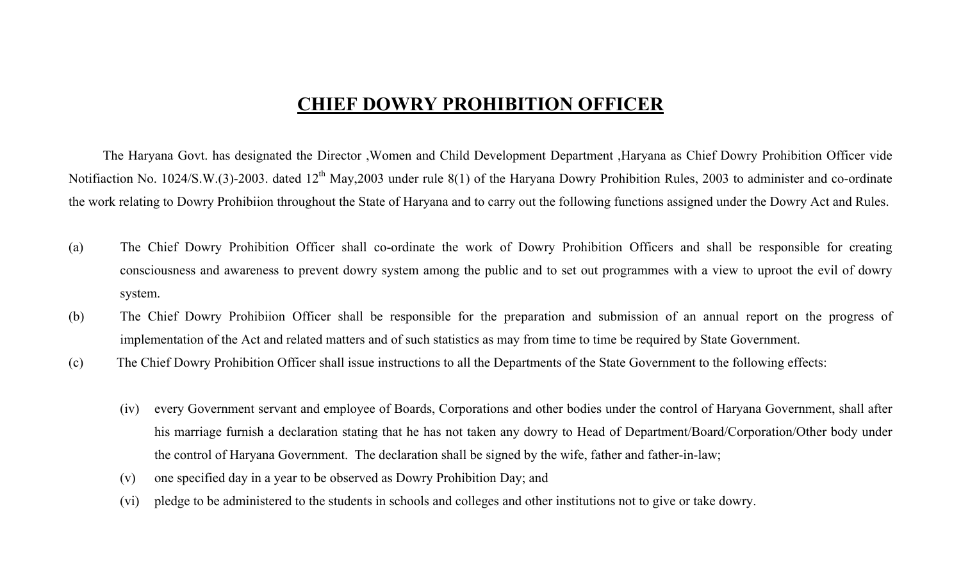### **CHIEF DOWRY PROHIBITION OFFICER**

 The Haryana Govt. has designated the Director ,Women and Child Development Department ,Haryana as Chief Dowry Prohibition Officer vide Notifiaction No. 1024/S.W.(3)-2003. dated 12<sup>th</sup> May,2003 under rule 8(1) of the Haryana Dowry Prohibition Rules, 2003 to administer and co-ordinate the work relating to Dowry Prohibiion throughout the State of Haryana and to carry out the following functions assigned under the Dowry Act and Rules.

- (a) The Chief Dowry Prohibition Officer shall co-ordinate the work of Dowry Prohibition Officers and shall be responsible for creating consciousness and awareness to prevent dowry system among the public and to set out programmes with a view to uproot the evil of dowry system.
- (b) The Chief Dowry Prohibiion Officer shall be responsible for the preparation and submission of an annual report on the progress of implementation of the Act and related matters and of such statistics as may from time to time be required by State Government.
- (c) The Chief Dowry Prohibition Officer shall issue instructions to all the Departments of the State Government to the following effects:
	- (iv) every Government servant and employee of Boards, Corporations and other bodies under the control of Haryana Government, shall after his marriage furnish a declaration stating that he has not taken any dowry to Head of Department/Board/Corporation/Other body under the control of Haryana Government. The declaration shall be signed by the wife, father and father-in-law;
	- (v) one specified day in a year to be observed as Dowry Prohibition Day; and
	- (vi) pledge to be administered to the students in schools and colleges and other institutions not to give or take dowry.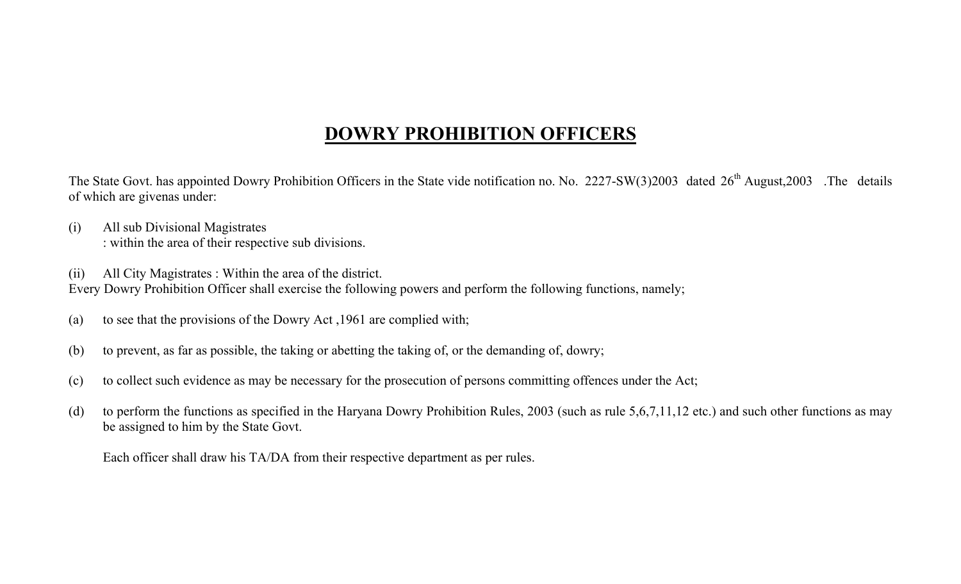## **DOWRY PROHIBITION OFFICERS**

The State Govt. has appointed Dowry Prohibition Officers in the State vide notification no. No. 2227-SW(3)2003 dated 26<sup>th</sup> August,2003. The details of which are givenas under:

- (i) All sub Divisional Magistrates : within the area of their respective sub divisions.
- (ii) All City Magistrates : Within the area of the district.

Every Dowry Prohibition Officer shall exercise the following powers and perform the following functions, namely;

- (a) to see that the provisions of the Dowry Act ,1961 are complied with;
- (b) to prevent, as far as possible, the taking or abetting the taking of, or the demanding of, dowry;
- (c) to collect such evidence as may be necessary for the prosecution of persons committing offences under the Act;
- (d) to perform the functions as specified in the Haryana Dowry Prohibition Rules, 2003 (such as rule 5,6,7,11,12 etc.) and such other functions as may be assigned to him by the State Govt.

Each officer shall draw his TA/DA from their respective department as per rules.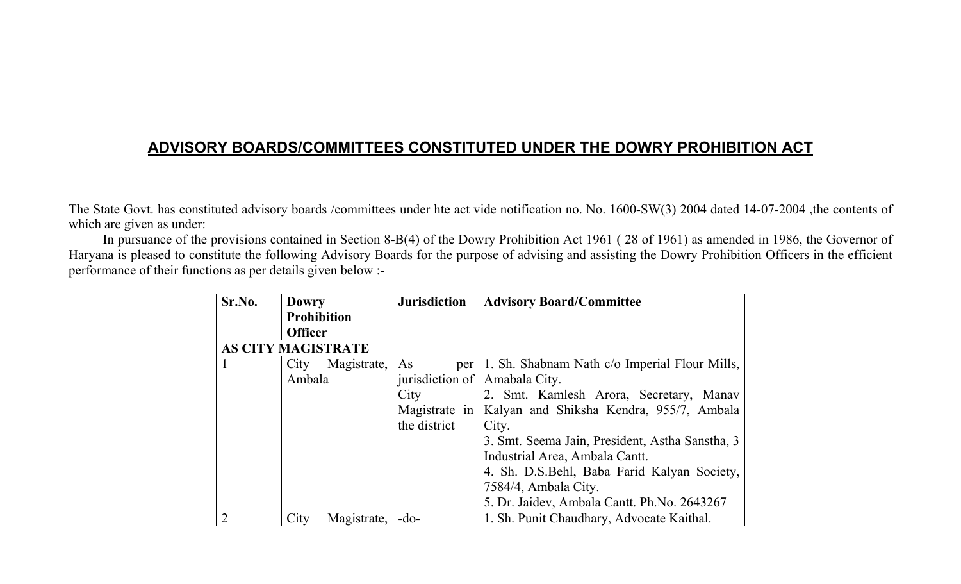### **ADVISORY BOARDS/COMMITTEES CONSTITUTED UNDER THE DOWRY PROHIBITION ACT**

The State Govt. has constituted advisory boards /committees under hte act vide notification no. No. 1600-SW(3) 2004 dated 14-07-2004 ,the contents of which are given as under:

In pursuance of the provisions contained in Section 8-B(4) of the Dowry Prohibition Act 1961 ( 28 of 1961) as amended in 1986, the Governor of Haryana is pleased to constitute the following Advisory Boards for the purpose of advising and assisting the Dowry Prohibition Officers in the efficient performance of their functions as per details given below :-

| Sr.No.         | <b>Dowry</b>              | <b>Jurisdiction</b> | <b>Advisory Board/Committee</b>                        |
|----------------|---------------------------|---------------------|--------------------------------------------------------|
|                | <b>Prohibition</b>        |                     |                                                        |
|                | <b>Officer</b>            |                     |                                                        |
|                | <b>AS CITY MAGISTRATE</b> |                     |                                                        |
|                | City<br>Magistrate,       | As<br>per           | 1. Sh. Shabnam Nath c/o Imperial Flour Mills,          |
|                | Ambala                    | jurisdiction of     | Amabala City.                                          |
|                |                           | City                | 2. Smt. Kamlesh Arora, Secretary, Manav                |
|                |                           |                     | Magistrate in Kalyan and Shiksha Kendra, 955/7, Ambala |
|                |                           | the district        | City.                                                  |
|                |                           |                     | 3. Smt. Seema Jain, President, Astha Sanstha, 3        |
|                |                           |                     | Industrial Area, Ambala Cantt.                         |
|                |                           |                     | 4. Sh. D.S.Behl, Baba Farid Kalyan Society,            |
|                |                           |                     | 7584/4, Ambala City.                                   |
|                |                           |                     | 5. Dr. Jaidev, Ambala Cantt. Ph. No. 2643267           |
| $\overline{2}$ | City<br>Magistrate,       | $-$ do-             | 1. Sh. Punit Chaudhary, Advocate Kaithal.              |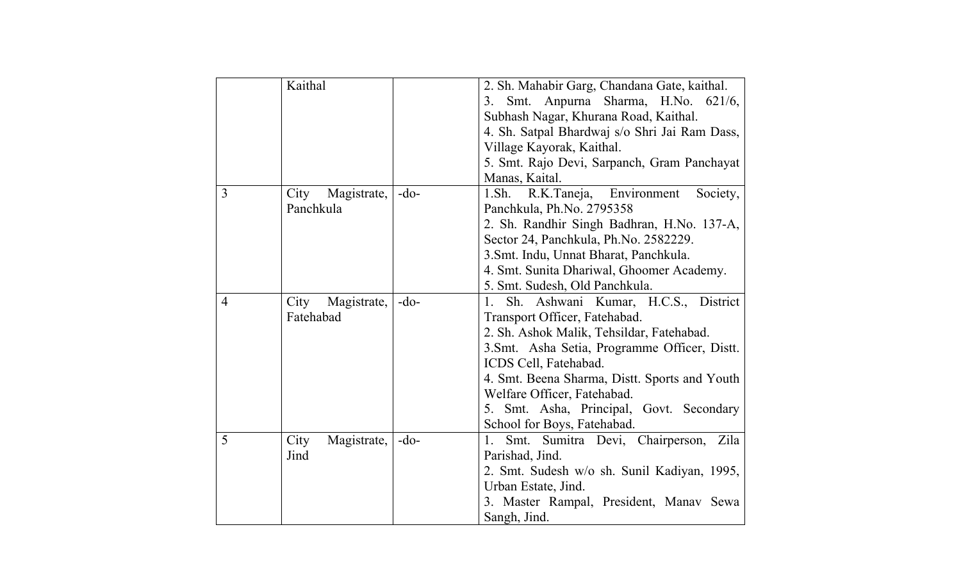|                | Kaithal             |        | 2. Sh. Mahabir Garg, Chandana Gate, kaithal.  |
|----------------|---------------------|--------|-----------------------------------------------|
|                |                     |        | Smt. Anpurna Sharma, H.No. 621/6,<br>3.       |
|                |                     |        | Subhash Nagar, Khurana Road, Kaithal.         |
|                |                     |        | 4. Sh. Satpal Bhardwaj s/o Shri Jai Ram Dass, |
|                |                     |        | Village Kayorak, Kaithal.                     |
|                |                     |        | 5. Smt. Rajo Devi, Sarpanch, Gram Panchayat   |
|                |                     |        | Manas, Kaital.                                |
| $\overline{3}$ | City<br>Magistrate, | $-do-$ | 1.Sh. R.K.Taneja,<br>Environment<br>Society,  |
|                | Panchkula           |        | Panchkula, Ph.No. 2795358                     |
|                |                     |        | 2. Sh. Randhir Singh Badhran, H.No. 137-A,    |
|                |                     |        | Sector 24, Panchkula, Ph.No. 2582229.         |
|                |                     |        | 3. Smt. Indu, Unnat Bharat, Panchkula.        |
|                |                     |        | 4. Smt. Sunita Dhariwal, Ghoomer Academy.     |
|                |                     |        | 5. Smt. Sudesh, Old Panchkula.                |
| $\overline{4}$ | City<br>Magistrate, | $-do-$ | Sh. Ashwani Kumar, H.C.S., District<br>1.     |
|                | Fatehabad           |        | Transport Officer, Fatehabad.                 |
|                |                     |        | 2. Sh. Ashok Malik, Tehsildar, Fatehabad.     |
|                |                     |        | 3. Smt. Asha Setia, Programme Officer, Distt. |
|                |                     |        | ICDS Cell, Fatehabad.                         |
|                |                     |        | 4. Smt. Beena Sharma, Distt. Sports and Youth |
|                |                     |        | Welfare Officer, Fatehabad.                   |
|                |                     |        | 5. Smt. Asha, Principal, Govt. Secondary      |
|                |                     |        | School for Boys, Fatehabad.                   |
| 5              | City<br>Magistrate, | $-do-$ | Smt. Sumitra Devi, Chairperson,<br>1.<br>Zila |
|                | Jind                |        | Parishad, Jind.                               |
|                |                     |        | 2. Smt. Sudesh w/o sh. Sunil Kadiyan, 1995,   |
|                |                     |        | Urban Estate, Jind.                           |
|                |                     |        | 3. Master Rampal, President, Manav Sewa       |
|                |                     |        | Sangh, Jind.                                  |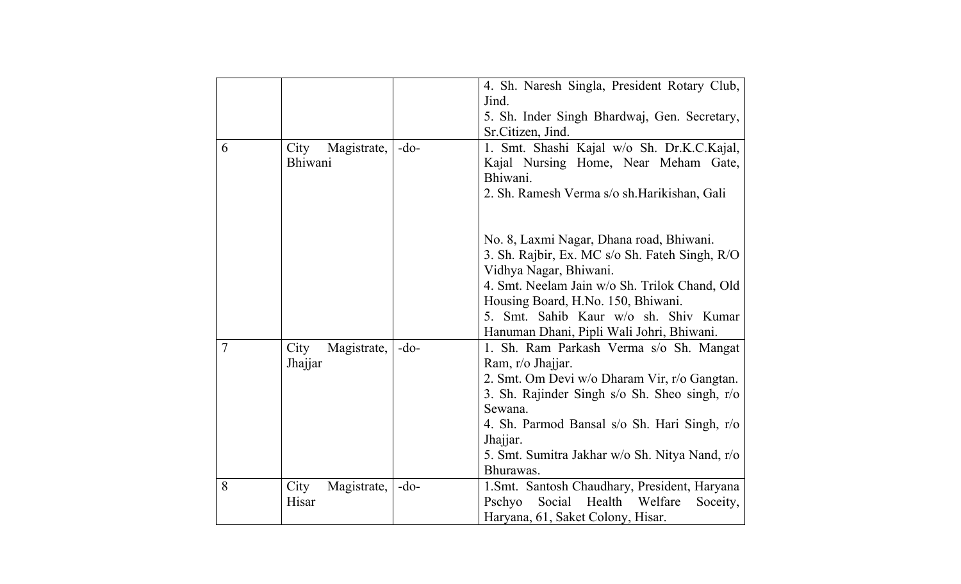|                |                                |        | 4. Sh. Naresh Singla, President Rotary Club,                                               |
|----------------|--------------------------------|--------|--------------------------------------------------------------------------------------------|
|                |                                |        | Jind.                                                                                      |
|                |                                |        | 5. Sh. Inder Singh Bhardwaj, Gen. Secretary,                                               |
|                |                                |        | Sr.Citizen, Jind.                                                                          |
| 6              | Magistrate,<br>City<br>Bhiwani | $-do-$ | 1. Smt. Shashi Kajal w/o Sh. Dr.K.C.Kajal,<br>Kajal Nursing Home, Near Meham Gate,         |
|                |                                |        | Bhiwani.<br>2. Sh. Ramesh Verma s/o sh. Harikishan, Gali                                   |
|                |                                |        | No. 8, Laxmi Nagar, Dhana road, Bhiwani.<br>3. Sh. Rajbir, Ex. MC s/o Sh. Fateh Singh, R/O |
|                |                                |        | Vidhya Nagar, Bhiwani.                                                                     |
|                |                                |        | 4. Smt. Neelam Jain w/o Sh. Trilok Chand, Old                                              |
|                |                                |        | Housing Board, H.No. 150, Bhiwani.                                                         |
|                |                                |        | 5. Smt. Sahib Kaur w/o sh. Shiv Kumar<br>Hanuman Dhani, Pipli Wali Johri, Bhiwani.         |
| $\overline{7}$ | Magistrate,<br>City            | $-do-$ | 1. Sh. Ram Parkash Verma s/o Sh. Mangat                                                    |
|                | Jhajjar                        |        | Ram, r/o Jhajjar.                                                                          |
|                |                                |        | 2. Smt. Om Devi w/o Dharam Vir, r/o Gangtan.                                               |
|                |                                |        | 3. Sh. Rajinder Singh s/o Sh. Sheo singh, r/o                                              |
|                |                                |        | Sewana.                                                                                    |
|                |                                |        | 4. Sh. Parmod Bansal s/o Sh. Hari Singh, r/o                                               |
|                |                                |        | Jhajjar.                                                                                   |
|                |                                |        | 5. Smt. Sumitra Jakhar w/o Sh. Nitya Nand, r/o                                             |
|                |                                |        | Bhurawas.                                                                                  |
| 8              | City<br>Magistrate,            | $-do-$ | 1. Smt. Santosh Chaudhary, President, Haryana                                              |
|                | Hisar                          |        | Social<br>Health Welfare<br>Pschyo<br>Soceity,                                             |
|                |                                |        | Haryana, 61, Saket Colony, Hisar.                                                          |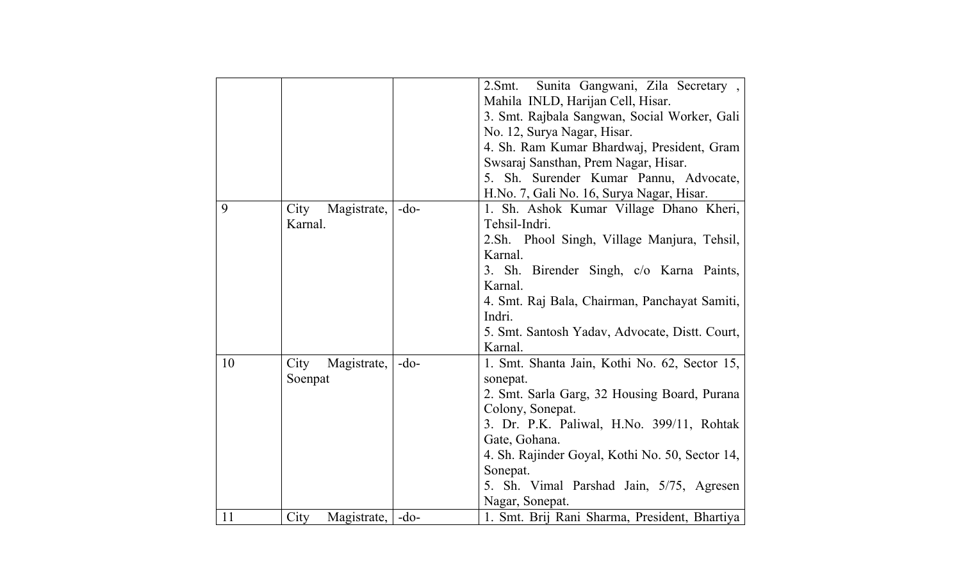|    |                     |        | Sunita Gangwani, Zila Secretary,<br>2.Smt.      |
|----|---------------------|--------|-------------------------------------------------|
|    |                     |        | Mahila INLD, Harijan Cell, Hisar.               |
|    |                     |        | 3. Smt. Rajbala Sangwan, Social Worker, Gali    |
|    |                     |        | No. 12, Surya Nagar, Hisar.                     |
|    |                     |        | 4. Sh. Ram Kumar Bhardwaj, President, Gram      |
|    |                     |        | Swsaraj Sansthan, Prem Nagar, Hisar.            |
|    |                     |        | 5. Sh. Surender Kumar Pannu, Advocate,          |
|    |                     |        | H.No. 7, Gali No. 16, Surya Nagar, Hisar.       |
| 9  | City<br>Magistrate, | $-do-$ | Sh. Ashok Kumar Village Dhano Kheri,<br>1.      |
|    | Karnal.             |        | Tehsil-Indri.                                   |
|    |                     |        | 2. Sh. Phool Singh, Village Manjura, Tehsil,    |
|    |                     |        | Karnal.                                         |
|    |                     |        | 3. Sh. Birender Singh, c/o Karna Paints,        |
|    |                     |        | Karnal.                                         |
|    |                     |        | 4. Smt. Raj Bala, Chairman, Panchayat Samiti,   |
|    |                     |        | Indri.                                          |
|    |                     |        | 5. Smt. Santosh Yadav, Advocate, Distt. Court,  |
|    |                     |        | Karnal.                                         |
| 10 | City<br>Magistrate, | $-do-$ | 1. Smt. Shanta Jain, Kothi No. 62, Sector 15,   |
|    | Soenpat             |        | sonepat.                                        |
|    |                     |        | 2. Smt. Sarla Garg, 32 Housing Board, Purana    |
|    |                     |        | Colony, Sonepat.                                |
|    |                     |        | 3. Dr. P.K. Paliwal, H.No. 399/11, Rohtak       |
|    |                     |        | Gate, Gohana.                                   |
|    |                     |        | 4. Sh. Rajinder Goyal, Kothi No. 50, Sector 14, |
|    |                     |        | Sonepat.                                        |
|    |                     |        | 5. Sh. Vimal Parshad Jain, 5/75, Agresen        |
|    |                     |        | Nagar, Sonepat.                                 |
| 11 | Magistrate,<br>City | $-do-$ | 1. Smt. Brij Rani Sharma, President, Bhartiya   |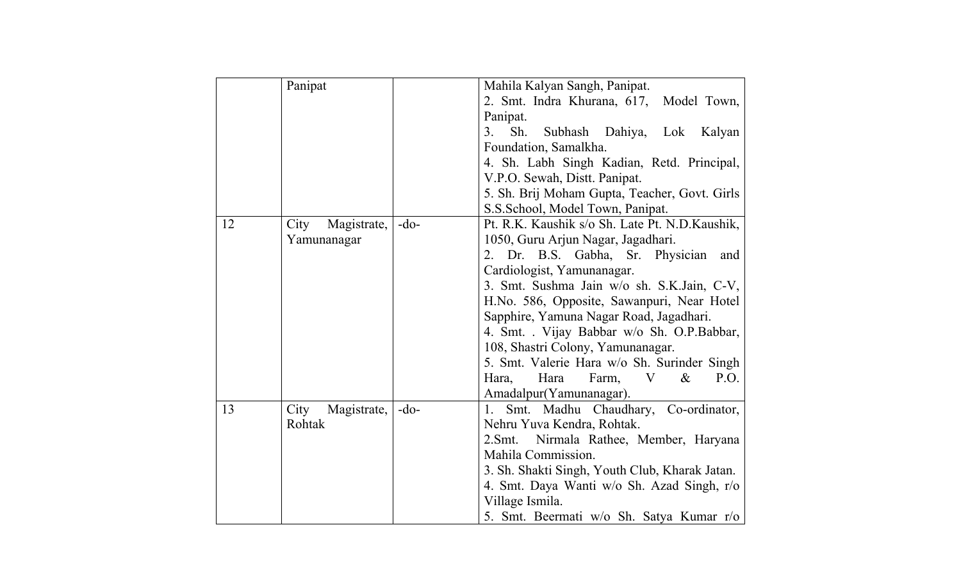|    | Panipat             |        | Mahila Kalyan Sangh, Panipat.                   |
|----|---------------------|--------|-------------------------------------------------|
|    |                     |        | 2. Smt. Indra Khurana, 617, Model Town,         |
|    |                     |        | Panipat.                                        |
|    |                     |        | Sh.<br>3.<br>Subhash Dahiya, Lok<br>Kalyan      |
|    |                     |        | Foundation, Samalkha.                           |
|    |                     |        | 4. Sh. Labh Singh Kadian, Retd. Principal,      |
|    |                     |        | V.P.O. Sewah, Distt. Panipat.                   |
|    |                     |        | 5. Sh. Brij Moham Gupta, Teacher, Govt. Girls   |
|    |                     |        | S.S.School, Model Town, Panipat.                |
| 12 | City<br>Magistrate, | $-do-$ | Pt. R.K. Kaushik s/o Sh. Late Pt. N.D. Kaushik, |
|    | Yamunanagar         |        | 1050, Guru Arjun Nagar, Jagadhari.              |
|    |                     |        | 2. Dr. B.S. Gabha, Sr. Physician<br>and         |
|    |                     |        | Cardiologist, Yamunanagar.                      |
|    |                     |        | 3. Smt. Sushma Jain w/o sh. S.K.Jain, C-V,      |
|    |                     |        | H.No. 586, Opposite, Sawanpuri, Near Hotel      |
|    |                     |        | Sapphire, Yamuna Nagar Road, Jagadhari.         |
|    |                     |        | 4. Smt. . Vijay Babbar w/o Sh. O.P.Babbar,      |
|    |                     |        | 108, Shastri Colony, Yamunanagar.               |
|    |                     |        | 5. Smt. Valerie Hara w/o Sh. Surinder Singh     |
|    |                     |        | Hara Farm, V<br>P.O.<br>Hara,<br>$\&$           |
|    |                     |        | Amadalpur (Yamunanagar).                        |
| 13 | City<br>Magistrate, | $-do-$ | 1. Smt. Madhu Chaudhary, Co-ordinator,          |
|    | Rohtak              |        | Nehru Yuva Kendra, Rohtak.                      |
|    |                     |        | Nirmala Rathee, Member, Haryana<br>2.Smt.       |
|    |                     |        | Mahila Commission.                              |
|    |                     |        |                                                 |
|    |                     |        | 3. Sh. Shakti Singh, Youth Club, Kharak Jatan.  |
|    |                     |        | 4. Smt. Daya Wanti w/o Sh. Azad Singh, r/o      |
|    |                     |        | Village Ismila.                                 |
|    |                     |        | 5. Smt. Beermati w/o Sh. Satya Kumar r/o        |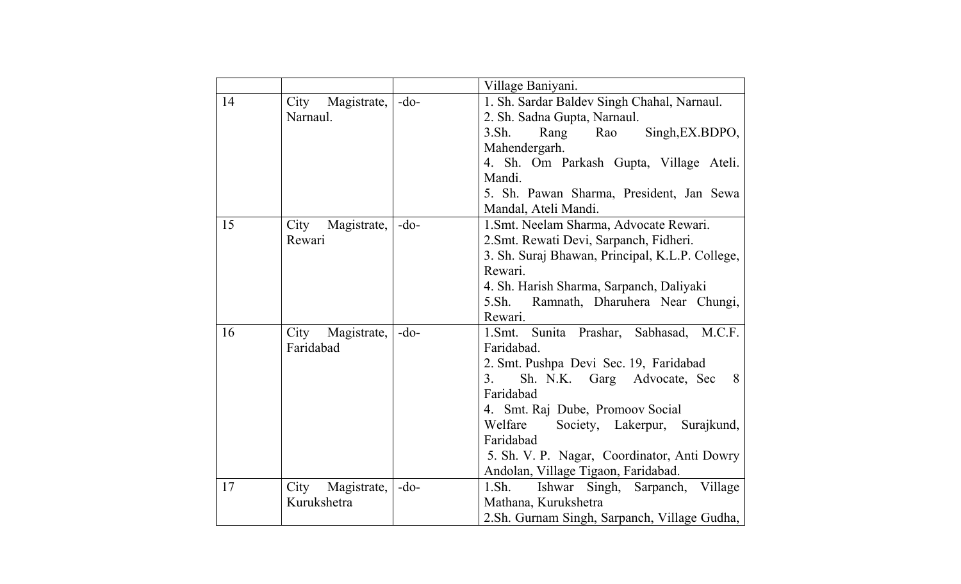|    |                     |        | Village Baniyani.                               |
|----|---------------------|--------|-------------------------------------------------|
| 14 | City<br>Magistrate, | $-do-$ | 1. Sh. Sardar Baldev Singh Chahal, Narnaul.     |
|    | Narnaul.            |        | 2. Sh. Sadna Gupta, Narnaul.                    |
|    |                     |        | 3. Sh.<br>Rang<br>Rao<br>Singh, EX.BDPO,        |
|    |                     |        | Mahendergarh.                                   |
|    |                     |        | 4. Sh. Om Parkash Gupta, Village Ateli.         |
|    |                     |        | Mandi.                                          |
|    |                     |        | 5. Sh. Pawan Sharma, President, Jan Sewa        |
|    |                     |        | Mandal, Ateli Mandi.                            |
| 15 | City<br>Magistrate, | $-do-$ | 1. Smt. Neelam Sharma, Advocate Rewari.         |
|    | Rewari              |        | 2. Smt. Rewati Devi, Sarpanch, Fidheri.         |
|    |                     |        | 3. Sh. Suraj Bhawan, Principal, K.L.P. College, |
|    |                     |        | Rewari.                                         |
|    |                     |        | 4. Sh. Harish Sharma, Sarpanch, Daliyaki        |
|    |                     |        | Ramnath, Dharuhera Near Chungi,<br>5.Sh.        |
|    |                     |        | Rewari.                                         |
| 16 | City<br>Magistrate, | $-do-$ | Sunita Prashar, Sabhasad, M.C.F.<br>$1.5mt$ .   |
|    | Faridabad           |        | Faridabad.                                      |
|    |                     |        | 2. Smt. Pushpa Devi Sec. 19, Faridabad          |
|    |                     |        | Sh. N.K. Garg Advocate, Sec<br>3.<br>8          |
|    |                     |        | Faridabad                                       |
|    |                     |        | 4. Smt. Raj Dube, Promoov Social                |
|    |                     |        | Welfare<br>Society, Lakerpur, Surajkund,        |
|    |                     |        | Faridabad                                       |
|    |                     |        | 5. Sh. V. P. Nagar, Coordinator, Anti Dowry     |
|    |                     |        | Andolan, Village Tigaon, Faridabad.             |
| 17 | City<br>Magistrate, | $-do-$ | 1.Sh.<br>Sarpanch, Village<br>Ishwar Singh,     |
|    | Kurukshetra         |        | Mathana, Kurukshetra                            |
|    |                     |        | 2.Sh. Gurnam Singh, Sarpanch, Village Gudha,    |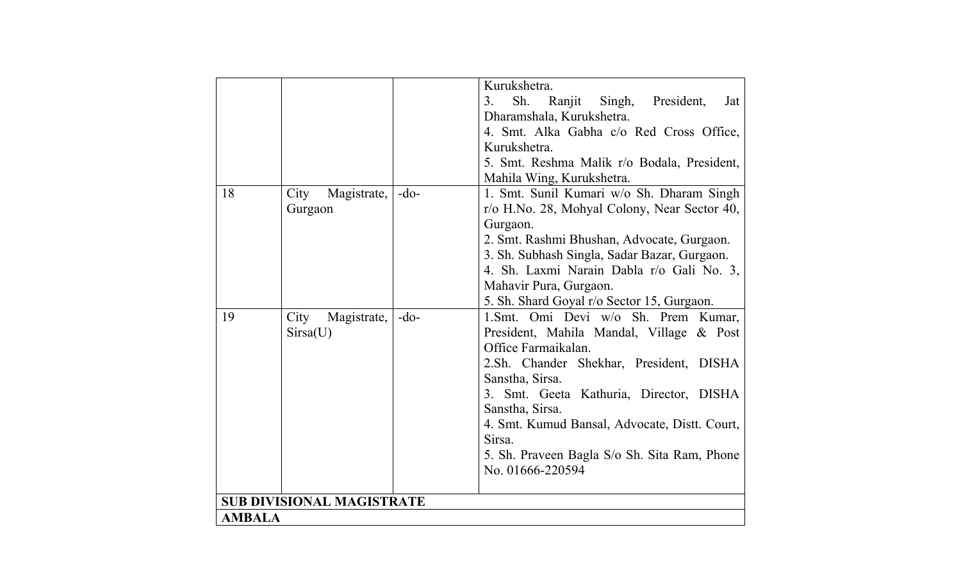| Sh.<br>Ranjit Singh,<br>President,<br>3.<br>Dharamshala, Kurukshetra.<br>4. Smt. Alka Gabha c/o Red Cross Office,<br>Kurukshetra.<br>5. Smt. Reshma Malik r/o Bodala, President,<br>Mahila Wing, Kurukshetra.<br>1. Smt. Sunil Kumari w/o Sh. Dharam Singh<br>18<br>City<br>Magistrate,<br>$-do-$<br>r/o H.No. 28, Mohyal Colony, Near Sector 40,<br>Gurgaon<br>Gurgaon.<br>2. Smt. Rashmi Bhushan, Advocate, Gurgaon.<br>3. Sh. Subhash Singla, Sadar Bazar, Gurgaon.<br>Mahavir Pura, Gurgaon.<br>5. Sh. Shard Goyal r/o Sector 15, Gurgaon.<br>19<br>City<br>Magistrate,<br>$-do-$<br>Sirsa(U)<br>Office Farmaikalan.<br>Sanstha, Sirsa.<br>Sanstha, Sirsa.<br>4. Smt. Kumud Bansal, Advocate, Distt. Court,<br>Sirsa.<br>5. Sh. Praveen Bagla S/o Sh. Sita Ram, Phone<br>No. 01666-220594<br><b>SUB DIVISIONAL MAGISTRATE</b> |               |  |  | Kurukshetra.                              |  |  |
|-----------------------------------------------------------------------------------------------------------------------------------------------------------------------------------------------------------------------------------------------------------------------------------------------------------------------------------------------------------------------------------------------------------------------------------------------------------------------------------------------------------------------------------------------------------------------------------------------------------------------------------------------------------------------------------------------------------------------------------------------------------------------------------------------------------------------------------|---------------|--|--|-------------------------------------------|--|--|
|                                                                                                                                                                                                                                                                                                                                                                                                                                                                                                                                                                                                                                                                                                                                                                                                                                   |               |  |  | Jat                                       |  |  |
|                                                                                                                                                                                                                                                                                                                                                                                                                                                                                                                                                                                                                                                                                                                                                                                                                                   |               |  |  |                                           |  |  |
|                                                                                                                                                                                                                                                                                                                                                                                                                                                                                                                                                                                                                                                                                                                                                                                                                                   |               |  |  |                                           |  |  |
|                                                                                                                                                                                                                                                                                                                                                                                                                                                                                                                                                                                                                                                                                                                                                                                                                                   |               |  |  |                                           |  |  |
|                                                                                                                                                                                                                                                                                                                                                                                                                                                                                                                                                                                                                                                                                                                                                                                                                                   |               |  |  |                                           |  |  |
|                                                                                                                                                                                                                                                                                                                                                                                                                                                                                                                                                                                                                                                                                                                                                                                                                                   |               |  |  |                                           |  |  |
|                                                                                                                                                                                                                                                                                                                                                                                                                                                                                                                                                                                                                                                                                                                                                                                                                                   |               |  |  |                                           |  |  |
|                                                                                                                                                                                                                                                                                                                                                                                                                                                                                                                                                                                                                                                                                                                                                                                                                                   |               |  |  |                                           |  |  |
|                                                                                                                                                                                                                                                                                                                                                                                                                                                                                                                                                                                                                                                                                                                                                                                                                                   |               |  |  |                                           |  |  |
|                                                                                                                                                                                                                                                                                                                                                                                                                                                                                                                                                                                                                                                                                                                                                                                                                                   |               |  |  |                                           |  |  |
|                                                                                                                                                                                                                                                                                                                                                                                                                                                                                                                                                                                                                                                                                                                                                                                                                                   |               |  |  |                                           |  |  |
|                                                                                                                                                                                                                                                                                                                                                                                                                                                                                                                                                                                                                                                                                                                                                                                                                                   |               |  |  |                                           |  |  |
|                                                                                                                                                                                                                                                                                                                                                                                                                                                                                                                                                                                                                                                                                                                                                                                                                                   |               |  |  | 4. Sh. Laxmi Narain Dabla r/o Gali No. 3, |  |  |
|                                                                                                                                                                                                                                                                                                                                                                                                                                                                                                                                                                                                                                                                                                                                                                                                                                   |               |  |  |                                           |  |  |
|                                                                                                                                                                                                                                                                                                                                                                                                                                                                                                                                                                                                                                                                                                                                                                                                                                   |               |  |  |                                           |  |  |
|                                                                                                                                                                                                                                                                                                                                                                                                                                                                                                                                                                                                                                                                                                                                                                                                                                   |               |  |  | 1. Smt. Omi Devi w/o Sh. Prem Kumar,      |  |  |
|                                                                                                                                                                                                                                                                                                                                                                                                                                                                                                                                                                                                                                                                                                                                                                                                                                   |               |  |  | President, Mahila Mandal, Village & Post  |  |  |
|                                                                                                                                                                                                                                                                                                                                                                                                                                                                                                                                                                                                                                                                                                                                                                                                                                   |               |  |  |                                           |  |  |
|                                                                                                                                                                                                                                                                                                                                                                                                                                                                                                                                                                                                                                                                                                                                                                                                                                   |               |  |  | 2.Sh. Chander Shekhar, President, DISHA   |  |  |
|                                                                                                                                                                                                                                                                                                                                                                                                                                                                                                                                                                                                                                                                                                                                                                                                                                   |               |  |  |                                           |  |  |
|                                                                                                                                                                                                                                                                                                                                                                                                                                                                                                                                                                                                                                                                                                                                                                                                                                   |               |  |  | 3. Smt. Geeta Kathuria, Director, DISHA   |  |  |
|                                                                                                                                                                                                                                                                                                                                                                                                                                                                                                                                                                                                                                                                                                                                                                                                                                   |               |  |  |                                           |  |  |
|                                                                                                                                                                                                                                                                                                                                                                                                                                                                                                                                                                                                                                                                                                                                                                                                                                   |               |  |  |                                           |  |  |
|                                                                                                                                                                                                                                                                                                                                                                                                                                                                                                                                                                                                                                                                                                                                                                                                                                   |               |  |  |                                           |  |  |
|                                                                                                                                                                                                                                                                                                                                                                                                                                                                                                                                                                                                                                                                                                                                                                                                                                   |               |  |  |                                           |  |  |
|                                                                                                                                                                                                                                                                                                                                                                                                                                                                                                                                                                                                                                                                                                                                                                                                                                   |               |  |  |                                           |  |  |
|                                                                                                                                                                                                                                                                                                                                                                                                                                                                                                                                                                                                                                                                                                                                                                                                                                   |               |  |  |                                           |  |  |
|                                                                                                                                                                                                                                                                                                                                                                                                                                                                                                                                                                                                                                                                                                                                                                                                                                   |               |  |  |                                           |  |  |
|                                                                                                                                                                                                                                                                                                                                                                                                                                                                                                                                                                                                                                                                                                                                                                                                                                   | <b>AMBALA</b> |  |  |                                           |  |  |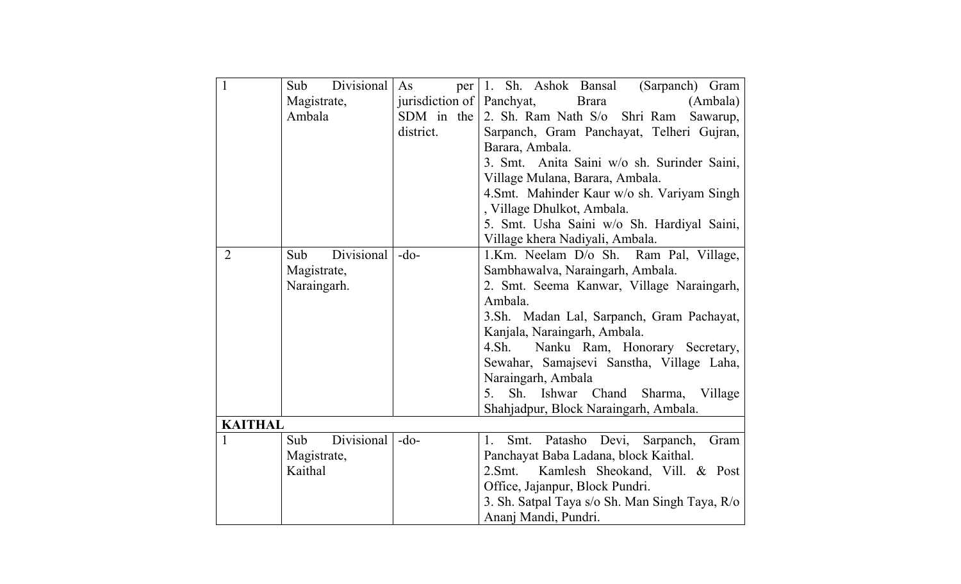| $\overline{1}$ | Divisional<br>Sub | As<br>per                 | 1. Sh. Ashok Bansal<br>(Sarpanch) Gram              |
|----------------|-------------------|---------------------------|-----------------------------------------------------|
|                | Magistrate,       | jurisdiction of Panchyat, | <b>Brara</b><br>(Ambala)                            |
|                | Ambala            | SDM in the                | 2. Sh. Ram Nath S/o Shri Ram<br>Sawarup,            |
|                |                   | district.                 | Sarpanch, Gram Panchayat, Telheri Gujran,           |
|                |                   |                           | Barara, Ambala.                                     |
|                |                   |                           | 3. Smt. Anita Saini w/o sh. Surinder Saini,         |
|                |                   |                           | Village Mulana, Barara, Ambala.                     |
|                |                   |                           | 4. Smt. Mahinder Kaur w/o sh. Variyam Singh         |
|                |                   |                           | , Village Dhulkot, Ambala.                          |
|                |                   |                           | 5. Smt. Usha Saini w/o Sh. Hardiyal Saini,          |
|                |                   |                           | Village khera Nadiyali, Ambala.                     |
| $\overline{2}$ | Divisional<br>Sub | $-do-$                    | 1.Km. Neelam D/o Sh. Ram Pal, Village,              |
|                | Magistrate,       |                           | Sambhawalva, Naraingarh, Ambala.                    |
|                | Naraingarh.       |                           | 2. Smt. Seema Kanwar, Village Naraingarh,           |
|                |                   |                           | Ambala.                                             |
|                |                   |                           | 3.Sh. Madan Lal, Sarpanch, Gram Pachayat,           |
|                |                   |                           | Kanjala, Naraingarh, Ambala.                        |
|                |                   |                           | Nanku Ram, Honorary Secretary,<br>4.Sh.             |
|                |                   |                           | Sewahar, Samajsevi Sanstha, Village Laha,           |
|                |                   |                           | Naraingarh, Ambala                                  |
|                |                   |                           | Sh. Ishwar Chand Sharma, Village<br>5.              |
|                |                   |                           | Shahjadpur, Block Naraingarh, Ambala.               |
| <b>KAITHAL</b> |                   |                           |                                                     |
| 1              | Divisional<br>Sub | $-do-$                    | Smt. Patasho Devi, Sarpanch,<br>Gram<br>1.          |
|                | Magistrate,       |                           | Panchayat Baba Ladana, block Kaithal.               |
|                | Kaithal           |                           | Kamlesh Sheokand, Vill. & Post<br>2.5 <sub>mt</sub> |
|                |                   |                           | Office, Jajanpur, Block Pundri.                     |
|                |                   |                           | 3. Sh. Satpal Taya s/o Sh. Man Singh Taya, R/o      |
|                |                   |                           | Ananj Mandi, Pundri.                                |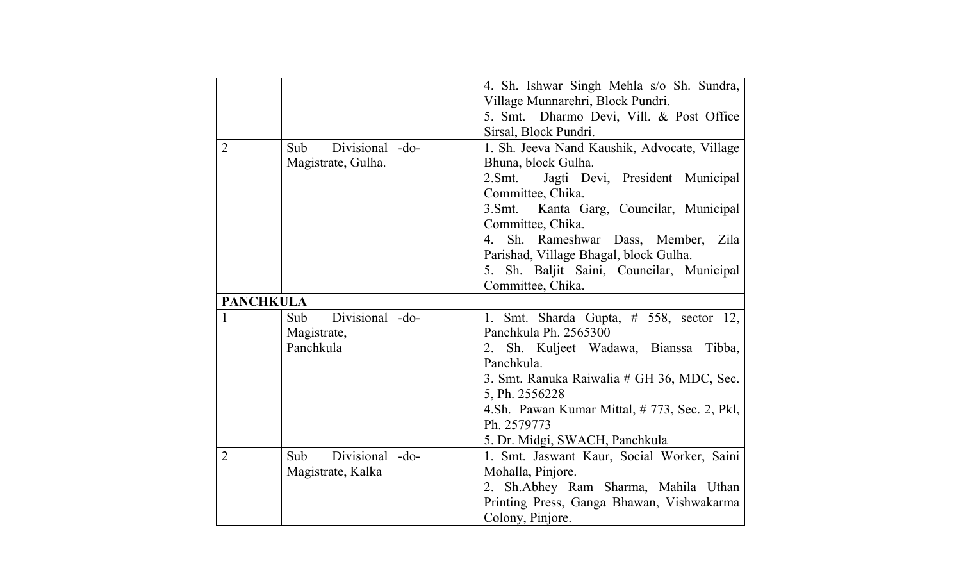|                |                    |        | 4. Sh. Ishwar Singh Mehla s/o Sh. Sundra,    |
|----------------|--------------------|--------|----------------------------------------------|
|                |                    |        | Village Munnarehri, Block Pundri.            |
|                |                    |        | 5. Smt. Dharmo Devi, Vill. & Post Office     |
|                |                    |        | Sirsal, Block Pundri.                        |
| $\overline{2}$ | Divisional<br>Sub  | $-do-$ | 1. Sh. Jeeva Nand Kaushik, Advocate, Village |
|                | Magistrate, Gulha. |        | Bhuna, block Gulha.                          |
|                |                    |        | 2.Smt.<br>Jagti Devi, President Municipal    |
|                |                    |        | Committee, Chika.                            |
|                |                    |        | 3. Smt. Kanta Garg, Councilar, Municipal     |
|                |                    |        | Committee, Chika.                            |
|                |                    |        | Sh. Rameshwar Dass, Member, Zila<br>4.       |
|                |                    |        | Parishad, Village Bhagal, block Gulha.       |
|                |                    |        | 5. Sh. Baljit Saini, Councilar, Municipal    |
|                |                    |        | Committee, Chika.                            |
|                | <b>PANCHKULA</b>   |        |                                              |
| 1              | Divisional<br>Sub  | $-do-$ | 1. Smt. Sharda Gupta, $# 558$ , sector 12,   |
|                | Magistrate,        |        | Panchkula Ph. 2565300                        |
|                | Panchkula          |        | Sh. Kuljeet Wadawa, Bianssa<br>Tibba,<br>2.  |
|                |                    |        | Panchkula.                                   |
|                |                    |        | 3. Smt. Ranuka Raiwalia # GH 36, MDC, Sec.   |
|                |                    |        | 5, Ph. 2556228                               |
|                |                    |        | 4.Sh. Pawan Kumar Mittal, #773, Sec. 2, Pkl, |
|                |                    |        | Ph. 2579773                                  |
|                |                    |        | 5. Dr. Midgi, SWACH, Panchkula               |
| $\overline{2}$ | Divisional<br>Sub  | $-do-$ | 1. Smt. Jaswant Kaur, Social Worker, Saini   |
|                | Magistrate, Kalka  |        | Mohalla, Pinjore.                            |
|                |                    |        | 2. Sh.Abhey Ram Sharma, Mahila Uthan         |
|                |                    |        | Printing Press, Ganga Bhawan, Vishwakarma    |
|                |                    |        | Colony, Pinjore.                             |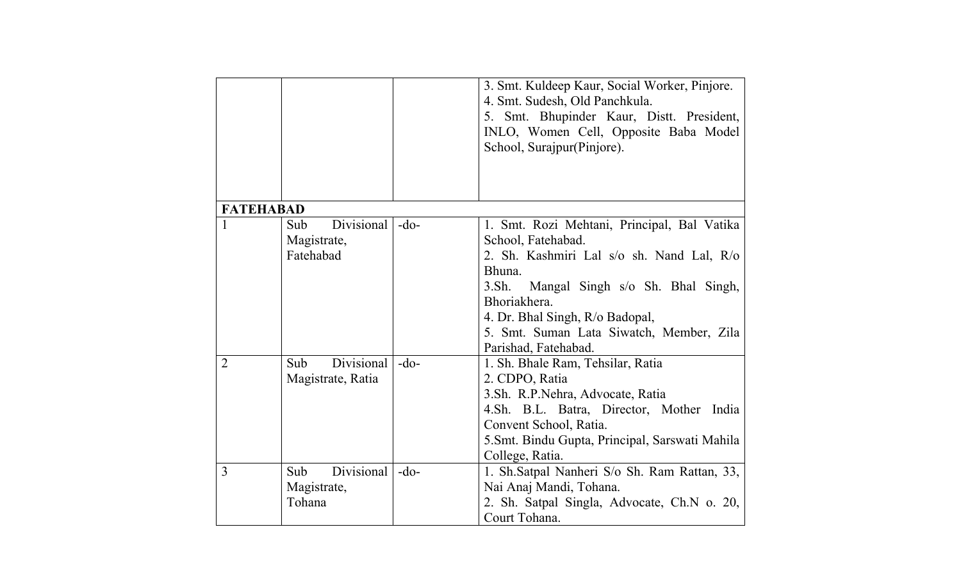|                  |                   |        | 3. Smt. Kuldeep Kaur, Social Worker, Pinjore.   |
|------------------|-------------------|--------|-------------------------------------------------|
|                  |                   |        | 4. Smt. Sudesh, Old Panchkula.                  |
|                  |                   |        | 5. Smt. Bhupinder Kaur, Distt. President,       |
|                  |                   |        | INLO, Women Cell, Opposite Baba Model           |
|                  |                   |        | School, Surajpur(Pinjore).                      |
|                  |                   |        |                                                 |
|                  |                   |        |                                                 |
|                  |                   |        |                                                 |
| <b>FATEHABAD</b> |                   |        |                                                 |
| 1                | Divisional<br>Sub | $-do-$ | 1. Smt. Rozi Mehtani, Principal, Bal Vatika     |
|                  | Magistrate,       |        | School, Fatehabad.                              |
|                  | Fatehabad         |        | 2. Sh. Kashmiri Lal s/o sh. Nand Lal, R/o       |
|                  |                   |        | Bhuna.                                          |
|                  |                   |        | 3. Sh.<br>Mangal Singh s/o Sh. Bhal Singh,      |
|                  |                   |        | Bhoriakhera.                                    |
|                  |                   |        | 4. Dr. Bhal Singh, R/o Badopal,                 |
|                  |                   |        | 5. Smt. Suman Lata Siwatch, Member, Zila        |
|                  |                   |        | Parishad, Fatehabad.                            |
| $\overline{2}$   | Divisional<br>Sub | $-do-$ | 1. Sh. Bhale Ram, Tehsilar, Ratia               |
|                  | Magistrate, Ratia |        | 2. CDPO, Ratia                                  |
|                  |                   |        | 3.Sh. R.P.Nehra, Advocate, Ratia                |
|                  |                   |        | 4.Sh. B.L. Batra, Director, Mother India        |
|                  |                   |        | Convent School, Ratia.                          |
|                  |                   |        | 5. Smt. Bindu Gupta, Principal, Sarswati Mahila |
|                  |                   |        | College, Ratia.                                 |
| 3                | Divisional<br>Sub | $-do-$ | 1. Sh.Satpal Nanheri S/o Sh. Ram Rattan, 33,    |
|                  | Magistrate,       |        | Nai Anaj Mandi, Tohana.                         |
|                  | Tohana            |        | 2. Sh. Satpal Singla, Advocate, Ch.N o. 20,     |
|                  |                   |        | Court Tohana.                                   |
|                  |                   |        |                                                 |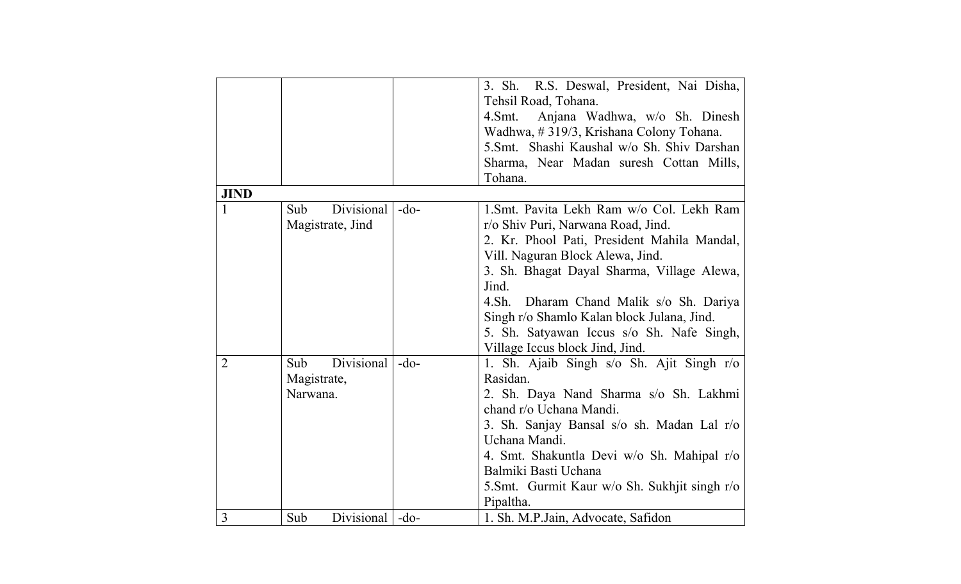|                |                   |        | 3. Sh. R.S. Deswal, President, Nai Disha,    |
|----------------|-------------------|--------|----------------------------------------------|
|                |                   |        | Tehsil Road, Tohana.                         |
|                |                   |        | Anjana Wadhwa, w/o Sh. Dinesh<br>4.Smt.      |
|                |                   |        | Wadhwa, #319/3, Krishana Colony Tohana.      |
|                |                   |        | 5.Smt. Shashi Kaushal w/o Sh. Shiv Darshan   |
|                |                   |        | Sharma, Near Madan suresh Cottan Mills,      |
|                |                   |        | Tohana.                                      |
| <b>JIND</b>    |                   |        |                                              |
|                | Divisional<br>Sub | $-do-$ | 1. Smt. Pavita Lekh Ram w/o Col. Lekh Ram    |
|                | Magistrate, Jind  |        | r/o Shiv Puri, Narwana Road, Jind.           |
|                |                   |        | 2. Kr. Phool Pati, President Mahila Mandal,  |
|                |                   |        | Vill. Naguran Block Alewa, Jind.             |
|                |                   |        | 3. Sh. Bhagat Dayal Sharma, Village Alewa,   |
|                |                   |        | Jind.                                        |
|                |                   |        | 4.Sh.<br>Dharam Chand Malik s/o Sh. Dariya   |
|                |                   |        | Singh r/o Shamlo Kalan block Julana, Jind.   |
|                |                   |        | 5. Sh. Satyawan Iccus s/o Sh. Nafe Singh,    |
|                |                   |        | Village Iccus block Jind, Jind.              |
| $\overline{2}$ | Divisional<br>Sub | $-do-$ | 1. Sh. Ajaib Singh s/o Sh. Ajit Singh r/o    |
|                | Magistrate,       |        | Rasidan.                                     |
|                | Narwana.          |        | 2. Sh. Daya Nand Sharma s/o Sh. Lakhmi       |
|                |                   |        | chand r/o Uchana Mandi.                      |
|                |                   |        | 3. Sh. Sanjay Bansal s/o sh. Madan Lal r/o   |
|                |                   |        | Uchana Mandi.                                |
|                |                   |        | 4. Smt. Shakuntla Devi w/o Sh. Mahipal r/o   |
|                |                   |        | Balmiki Basti Uchana                         |
|                |                   |        | 5.Smt. Gurmit Kaur w/o Sh. Sukhjit singh r/o |
|                |                   |        | Pipaltha.                                    |
| 3              | Divisional<br>Sub | $-do-$ | 1. Sh. M.P. Jain, Advocate, Safidon          |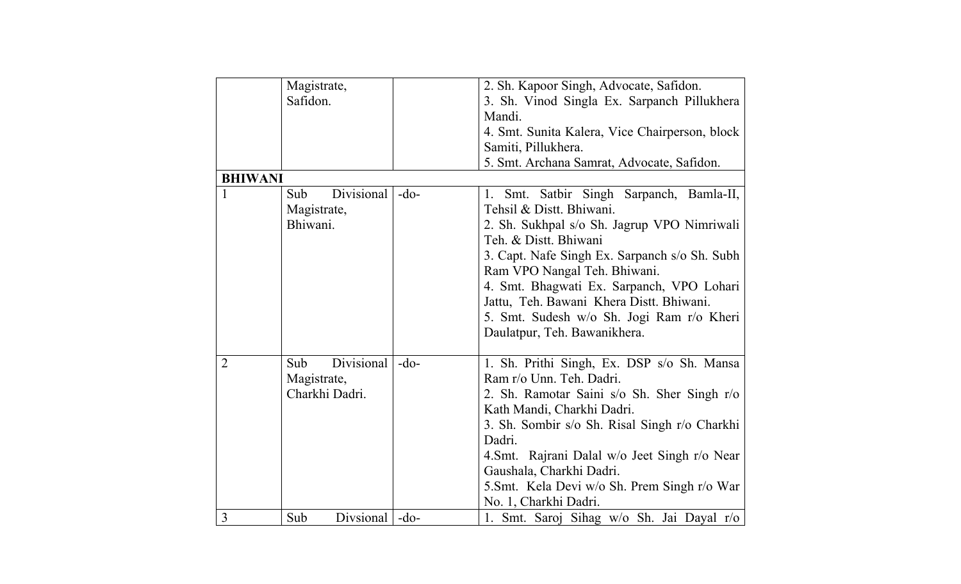|                | Magistrate,       |        | 2. Sh. Kapoor Singh, Advocate, Safidon.        |
|----------------|-------------------|--------|------------------------------------------------|
|                | Safidon.          |        | 3. Sh. Vinod Singla Ex. Sarpanch Pillukhera    |
|                |                   |        | Mandi.                                         |
|                |                   |        | 4. Smt. Sunita Kalera, Vice Chairperson, block |
|                |                   |        | Samiti, Pillukhera.                            |
|                |                   |        | 5. Smt. Archana Samrat, Advocate, Safidon.     |
| <b>BHIWANI</b> |                   |        |                                                |
| 1              | Sub<br>Divisional | $-do-$ | Smt. Satbir Singh Sarpanch, Bamla-II,<br>1.    |
|                | Magistrate,       |        | Tehsil & Distt. Bhiwani.                       |
|                | Bhiwani.          |        | 2. Sh. Sukhpal s/o Sh. Jagrup VPO Nimriwali    |
|                |                   |        | Teh. & Distt. Bhiwani                          |
|                |                   |        | 3. Capt. Nafe Singh Ex. Sarpanch s/o Sh. Subh  |
|                |                   |        | Ram VPO Nangal Teh. Bhiwani.                   |
|                |                   |        | 4. Smt. Bhagwati Ex. Sarpanch, VPO Lohari      |
|                |                   |        | Jattu, Teh. Bawani Khera Distt. Bhiwani.       |
|                |                   |        | 5. Smt. Sudesh w/o Sh. Jogi Ram r/o Kheri      |
|                |                   |        | Daulatpur, Teh. Bawanikhera.                   |
|                |                   |        |                                                |
| $\overline{2}$ | Divisional<br>Sub | $-do-$ | 1. Sh. Prithi Singh, Ex. DSP s/o Sh. Mansa     |
|                | Magistrate,       |        | Ram r/o Unn. Teh. Dadri.                       |
|                | Charkhi Dadri.    |        | 2. Sh. Ramotar Saini s/o Sh. Sher Singh r/o    |
|                |                   |        | Kath Mandi, Charkhi Dadri.                     |
|                |                   |        | 3. Sh. Sombir s/o Sh. Risal Singh r/o Charkhi  |
|                |                   |        | Dadri.                                         |
|                |                   |        | 4. Smt. Rajrani Dalal w/o Jeet Singh r/o Near  |
|                |                   |        | Gaushala, Charkhi Dadri.                       |
|                |                   |        | 5. Smt. Kela Devi w/o Sh. Prem Singh r/o War   |
|                |                   |        | No. 1, Charkhi Dadri.                          |
| $\overline{3}$ | Sub<br>Divsional  | $-do-$ | 1. Smt. Saroj Sihag w/o Sh. Jai Dayal r/o      |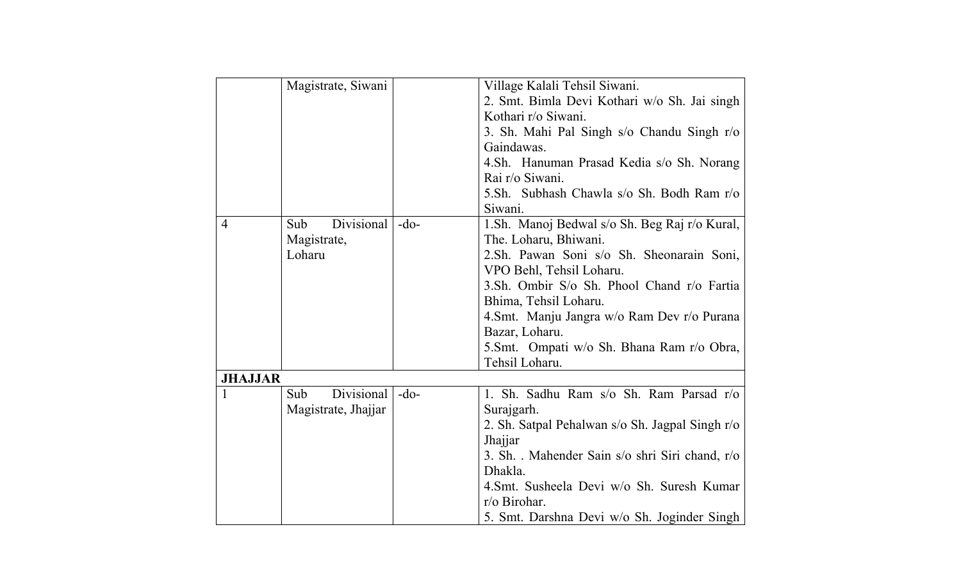|                | Magistrate, Siwani  |        | Village Kalali Tehsil Siwani.                   |
|----------------|---------------------|--------|-------------------------------------------------|
|                |                     |        | 2. Smt. Bimla Devi Kothari w/o Sh. Jai singh    |
|                |                     |        | Kothari r/o Siwani.                             |
|                |                     |        | 3. Sh. Mahi Pal Singh s/o Chandu Singh r/o      |
|                |                     |        | Gaindawas.                                      |
|                |                     |        | 4.Sh. Hanuman Prasad Kedia s/o Sh. Norang       |
|                |                     |        | Rai r/o Siwani.                                 |
|                |                     |        | 5.Sh. Subhash Chawla s/o Sh. Bodh Ram r/o       |
|                |                     |        | Siwani.                                         |
| $\overline{4}$ | Divisional<br>Sub   | $-do-$ | 1. Sh. Manoj Bedwal s/o Sh. Beg Raj r/o Kural,  |
|                | Magistrate,         |        | The. Loharu, Bhiwani.                           |
|                | Loharu              |        | 2.Sh. Pawan Soni s/o Sh. Sheonarain Soni,       |
|                |                     |        | VPO Behl, Tehsil Loharu.                        |
|                |                     |        | 3.Sh. Ombir S/o Sh. Phool Chand r/o Fartia      |
|                |                     |        | Bhima, Tehsil Loharu.                           |
|                |                     |        | 4. Smt. Manju Jangra w/o Ram Dev r/o Purana     |
|                |                     |        | Bazar, Loharu.                                  |
|                |                     |        | 5. Smt. Ompati w/o Sh. Bhana Ram r/o Obra,      |
|                |                     |        | Tehsil Loharu.                                  |
| <b>JHAJJAR</b> |                     |        |                                                 |
| 1              | Divisional<br>Sub   | $-do-$ | 1. Sh. Sadhu Ram s/o Sh. Ram Parsad r/o         |
|                | Magistrate, Jhajjar |        | Surajgarh.                                      |
|                |                     |        | 2. Sh. Satpal Pehalwan s/o Sh. Jagpal Singh r/o |
|                |                     |        | <b>Jhajjar</b>                                  |
|                |                     |        | 3. Sh. . Mahender Sain s/o shri Siri chand, r/o |
|                |                     |        | Dhakla.                                         |
|                |                     |        | 4. Smt. Susheela Devi w/o Sh. Suresh Kumar      |
|                |                     |        | $r$ /o Birohar.                                 |
|                |                     |        | 5. Smt. Darshna Devi w/o Sh. Joginder Singh     |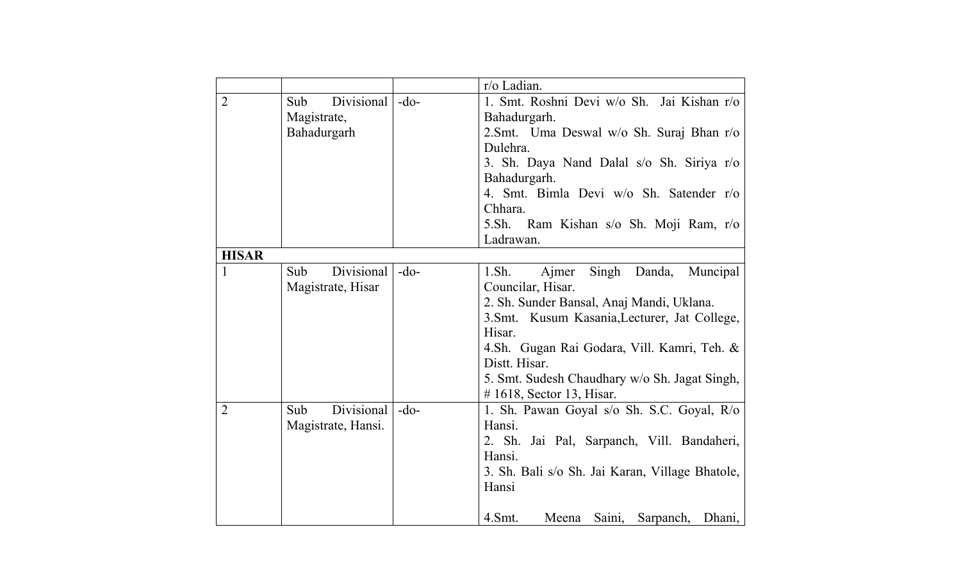|                |                    |        | r/o Ladian.                                     |
|----------------|--------------------|--------|-------------------------------------------------|
| $\overline{2}$ | Divisional<br>Sub  | $-do-$ | 1. Smt. Roshni Devi w/o Sh. Jai Kishan r/o      |
|                | Magistrate,        |        | Bahadurgarh.                                    |
|                | Bahadurgarh        |        | 2. Smt. Uma Deswal w/o Sh. Suraj Bhan r/o       |
|                |                    |        | Dulehra.                                        |
|                |                    |        | 3. Sh. Daya Nand Dalal s/o Sh. Siriya r/o       |
|                |                    |        | Bahadurgarh.                                    |
|                |                    |        | 4. Smt. Bimla Devi w/o Sh. Satender r/o         |
|                |                    |        | Chhara.                                         |
|                |                    |        | 5.Sh. Ram Kishan s/o Sh. Moji Ram, r/o          |
|                |                    |        | Ladrawan.                                       |
| <b>HISAR</b>   |                    |        |                                                 |
| 1              | Divisional<br>Sub  | $-do-$ | 1.Sh.<br>Ajmer<br>Singh Danda, Muncipal         |
|                | Magistrate, Hisar  |        | Councilar, Hisar.                               |
|                |                    |        | 2. Sh. Sunder Bansal, Anaj Mandi, Uklana.       |
|                |                    |        | 3. Smt. Kusum Kasania, Lecturer, Jat College,   |
|                |                    |        | Hisar.                                          |
|                |                    |        | 4.Sh. Gugan Rai Godara, Vill. Kamri, Teh. &     |
|                |                    |        | Distt. Hisar.                                   |
|                |                    |        | 5. Smt. Sudesh Chaudhary w/o Sh. Jagat Singh,   |
|                |                    |        | $# 1618$ , Sector 13, Hisar.                    |
| $\overline{2}$ | Divisional<br>Sub  | $-do-$ | 1. Sh. Pawan Goyal s/o Sh. S.C. Goyal, R/o      |
|                | Magistrate, Hansi. |        | Hansi.                                          |
|                |                    |        | 2. Sh. Jai Pal, Sarpanch, Vill. Bandaheri,      |
|                |                    |        | Hansi.                                          |
|                |                    |        | 3. Sh. Bali s/o Sh. Jai Karan, Village Bhatole, |
|                |                    |        | Hansi                                           |
|                |                    |        |                                                 |
|                |                    |        | 4.Smt.<br>Saini,<br>Meena<br>Sarpanch, Dhani,   |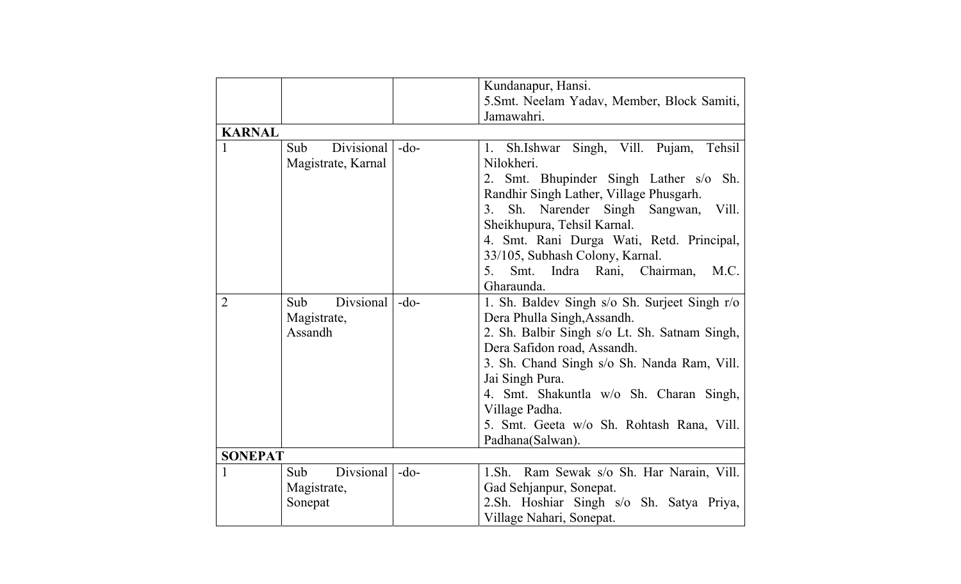|                |                                         |        | Kundanapur, Hansi.                                             |
|----------------|-----------------------------------------|--------|----------------------------------------------------------------|
|                |                                         |        | 5. Smt. Neelam Yadav, Member, Block Samiti,                    |
|                |                                         |        | Jamawahri.                                                     |
| <b>KARNAL</b>  |                                         |        |                                                                |
| $\mathbf{1}$   | Divisional<br>Sub<br>Magistrate, Karnal | $-do-$ | Singh, Vill. Pujam,<br>Tehsil<br>1.<br>Sh.Ishwar<br>Nilokheri. |
|                |                                         |        | 2. Smt. Bhupinder Singh Lather s/o Sh.                         |
|                |                                         |        | Randhir Singh Lather, Village Phusgarh.                        |
|                |                                         |        | Sh.<br>Narender Singh<br>3 <sub>1</sub><br>Sangwan,<br>Vill.   |
|                |                                         |        | Sheikhupura, Tehsil Karnal.                                    |
|                |                                         |        | 4. Smt. Rani Durga Wati, Retd. Principal,                      |
|                |                                         |        | 33/105, Subhash Colony, Karnal.                                |
|                |                                         |        | Indra Rani, Chairman,<br>$5_{\cdot}$<br>Smt.<br>M.C.           |
|                |                                         |        | Gharaunda.                                                     |
| $\overline{2}$ | Divsional<br>Sub                        | $-do-$ | 1. Sh. Baldev Singh s/o Sh. Surjeet Singh r/o                  |
|                | Magistrate,                             |        | Dera Phulla Singh, Assandh.                                    |
|                | Assandh                                 |        | 2. Sh. Balbir Singh s/o Lt. Sh. Satnam Singh,                  |
|                |                                         |        | Dera Safidon road, Assandh.                                    |
|                |                                         |        | 3. Sh. Chand Singh s/o Sh. Nanda Ram, Vill.                    |
|                |                                         |        | Jai Singh Pura.                                                |
|                |                                         |        | 4. Smt. Shakuntla w/o Sh. Charan Singh,                        |
|                |                                         |        | Village Padha.                                                 |
|                |                                         |        | 5. Smt. Geeta w/o Sh. Rohtash Rana, Vill.                      |
|                |                                         |        | Padhana(Salwan).                                               |
| <b>SONEPAT</b> |                                         |        |                                                                |
| 1              | Divsional<br>Sub                        | $-do-$ | 1.Sh. Ram Sewak s/o Sh. Har Narain, Vill.                      |
|                | Magistrate,                             |        | Gad Sehjanpur, Sonepat.                                        |
|                | Sonepat                                 |        | 2.Sh. Hoshiar Singh s/o Sh. Satya Priya,                       |
|                |                                         |        | Village Nahari, Sonepat.                                       |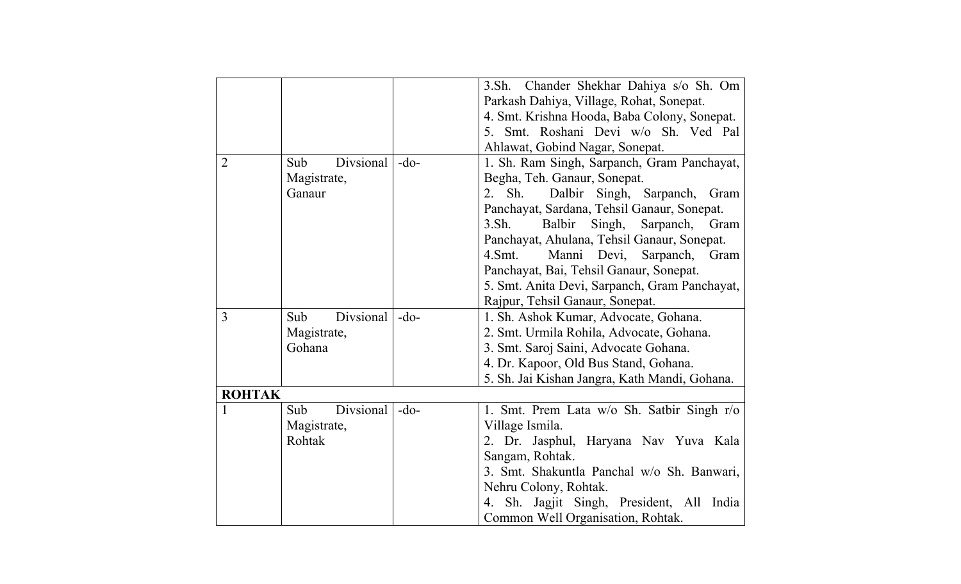|                |                  |        | 3.Sh. Chander Shekhar Dahiya s/o Sh. Om                  |
|----------------|------------------|--------|----------------------------------------------------------|
|                |                  |        | Parkash Dahiya, Village, Rohat, Sonepat.                 |
|                |                  |        | 4. Smt. Krishna Hooda, Baba Colony, Sonepat.             |
|                |                  |        | Smt. Roshani Devi w/o Sh. Ved Pal<br>5.                  |
|                |                  |        | Ahlawat, Gobind Nagar, Sonepat.                          |
| $\overline{2}$ | Divsional<br>Sub | $-do-$ | 1. Sh. Ram Singh, Sarpanch, Gram Panchayat,              |
|                | Magistrate,      |        | Begha, Teh. Ganaur, Sonepat.                             |
|                | Ganaur           |        | Sh.<br>2 <sub>1</sub><br>Dalbir<br>Singh, Sarpanch, Gram |
|                |                  |        | Panchayat, Sardana, Tehsil Ganaur, Sonepat.              |
|                |                  |        | 3. Sh.<br>Balbir<br>Singh, Sarpanch, Gram                |
|                |                  |        | Panchayat, Ahulana, Tehsil Ganaur, Sonepat.              |
|                |                  |        | 4.Smt.<br>Manni Devi, Sarpanch,<br>Gram                  |
|                |                  |        | Panchayat, Bai, Tehsil Ganaur, Sonepat.                  |
|                |                  |        | 5. Smt. Anita Devi, Sarpanch, Gram Panchayat,            |
|                |                  |        | Rajpur, Tehsil Ganaur, Sonepat.                          |
| 3              | Divsional<br>Sub | $-do-$ | 1. Sh. Ashok Kumar, Advocate, Gohana.                    |
|                | Magistrate,      |        | 2. Smt. Urmila Rohila, Advocate, Gohana.                 |
|                | Gohana           |        | 3. Smt. Saroj Saini, Advocate Gohana.                    |
|                |                  |        | 4. Dr. Kapoor, Old Bus Stand, Gohana.                    |
|                |                  |        | 5. Sh. Jai Kishan Jangra, Kath Mandi, Gohana.            |
| <b>ROHTAK</b>  |                  |        |                                                          |
| $\mathbf{1}$   | Divsional<br>Sub | $-do-$ | 1. Smt. Prem Lata w/o Sh. Satbir Singh r/o               |
|                | Magistrate,      |        | Village Ismila.                                          |
|                | Rohtak           |        | 2. Dr. Jasphul, Haryana Nav Yuva Kala                    |
|                |                  |        | Sangam, Rohtak.                                          |
|                |                  |        | 3. Smt. Shakuntla Panchal w/o Sh. Banwari,               |
|                |                  |        | Nehru Colony, Rohtak.                                    |
|                |                  |        | Sh. Jagjit Singh, President, All India<br>4.             |
|                |                  |        | Common Well Organisation, Rohtak.                        |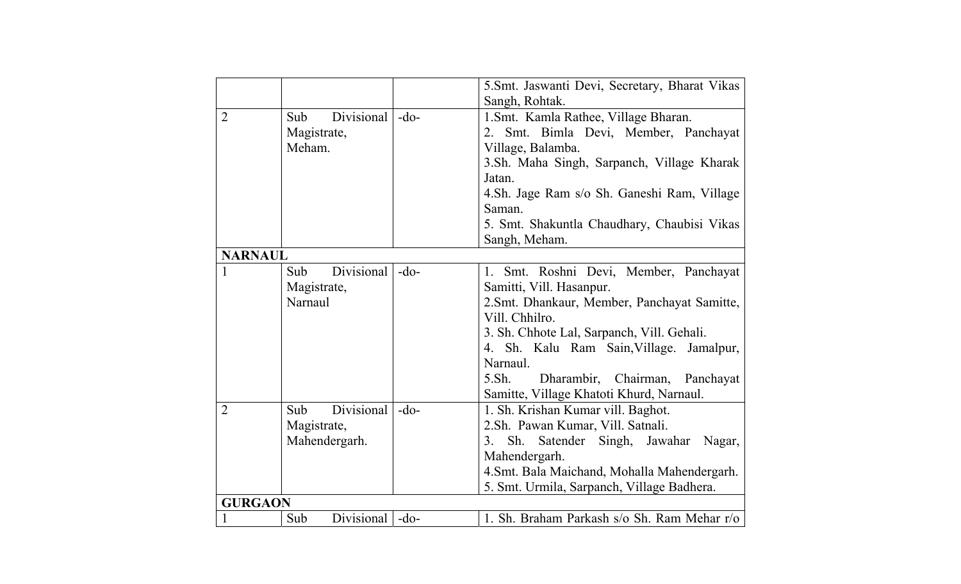|                |                   |        | 5.Smt. Jaswanti Devi, Secretary, Bharat Vikas |  |  |
|----------------|-------------------|--------|-----------------------------------------------|--|--|
|                |                   |        | Sangh, Rohtak.                                |  |  |
| $\overline{2}$ | Divisional<br>Sub | $-do-$ | 1.Smt. Kamla Rathee, Village Bharan.          |  |  |
|                | Magistrate,       |        | 2. Smt. Bimla Devi, Member, Panchayat         |  |  |
|                | Meham.            |        | Village, Balamba.                             |  |  |
|                |                   |        | 3.Sh. Maha Singh, Sarpanch, Village Kharak    |  |  |
|                |                   |        | Jatan.                                        |  |  |
|                |                   |        | 4.Sh. Jage Ram s/o Sh. Ganeshi Ram, Village   |  |  |
|                |                   |        | Saman.                                        |  |  |
|                |                   |        | 5. Smt. Shakuntla Chaudhary, Chaubisi Vikas   |  |  |
|                |                   |        | Sangh, Meham.                                 |  |  |
| <b>NARNAUL</b> |                   |        |                                               |  |  |
| 1              | Divisional<br>Sub | $-do-$ | 1. Smt. Roshni Devi, Member, Panchayat        |  |  |
|                | Magistrate,       |        | Samitti, Vill. Hasanpur.                      |  |  |
|                | Narnaul           |        | 2. Smt. Dhankaur, Member, Panchayat Samitte,  |  |  |
|                |                   |        | Vill. Chhilro.                                |  |  |
|                |                   |        | 3. Sh. Chhote Lal, Sarpanch, Vill. Gehali.    |  |  |
|                |                   |        | 4. Sh. Kalu Ram Sain, Village. Jamalpur,      |  |  |
|                |                   |        | Narnaul.                                      |  |  |
|                |                   |        | $5.$ Sh.<br>Dharambir, Chairman,<br>Panchayat |  |  |
|                |                   |        | Samitte, Village Khatoti Khurd, Narnaul.      |  |  |
| $\overline{2}$ | Divisional<br>Sub | $-do-$ | 1. Sh. Krishan Kumar vill. Baghot.            |  |  |
|                | Magistrate,       |        | 2.Sh. Pawan Kumar, Vill. Satnali.             |  |  |
|                | Mahendergarh.     |        | Sh.<br>Satender Singh, Jawahar Nagar,<br>3.   |  |  |
|                |                   |        | Mahendergarh.                                 |  |  |
|                |                   |        | 4.Smt. Bala Maichand, Mohalla Mahendergarh.   |  |  |
|                |                   |        | 5. Smt. Urmila, Sarpanch, Village Badhera.    |  |  |
|                | <b>GURGAON</b>    |        |                                               |  |  |
|                | Divisional<br>Sub | $-do-$ | 1. Sh. Braham Parkash s/o Sh. Ram Mehar r/o   |  |  |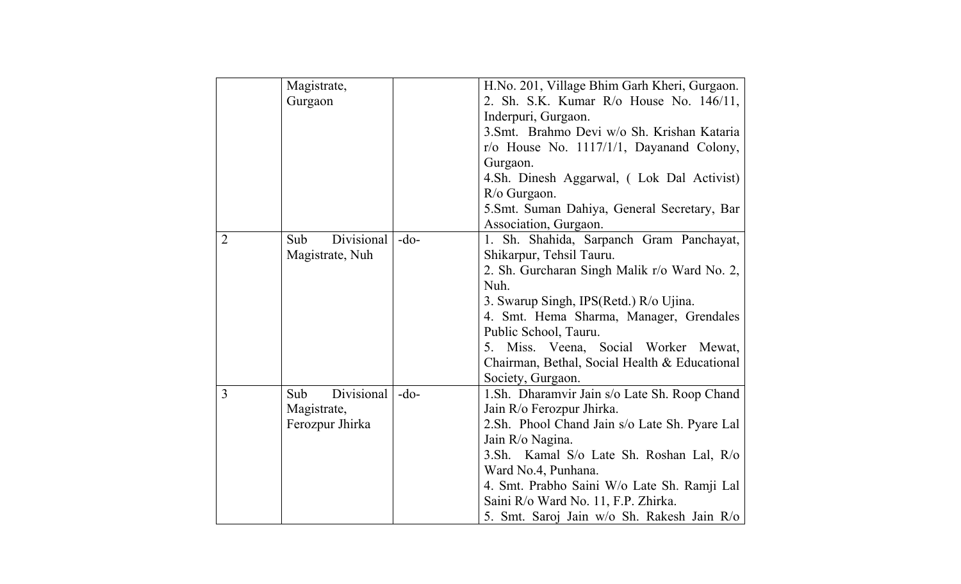|                | Magistrate,       |        | H.No. 201, Village Bhim Garh Kheri, Gurgaon.    |
|----------------|-------------------|--------|-------------------------------------------------|
|                | Gurgaon           |        | 2. Sh. S.K. Kumar R/o House No. 146/11,         |
|                |                   |        | Inderpuri, Gurgaon.                             |
|                |                   |        | 3. Smt. Brahmo Devi w/o Sh. Krishan Kataria     |
|                |                   |        | $r/\sigma$ House No. 1117/1/1, Dayanand Colony, |
|                |                   |        | Gurgaon.                                        |
|                |                   |        | 4.Sh. Dinesh Aggarwal, (Lok Dal Activist)       |
|                |                   |        | $R$ /o Gurgaon.                                 |
|                |                   |        | 5. Smt. Suman Dahiya, General Secretary, Bar    |
|                |                   |        | Association, Gurgaon.                           |
| $\overline{2}$ | Divisional<br>Sub | $-do-$ | 1. Sh. Shahida, Sarpanch Gram Panchayat,        |
|                | Magistrate, Nuh   |        | Shikarpur, Tehsil Tauru.                        |
|                |                   |        | 2. Sh. Gurcharan Singh Malik r/o Ward No. 2,    |
|                |                   |        | Nuh.                                            |
|                |                   |        | 3. Swarup Singh, IPS(Retd.) R/o Ujina.          |
|                |                   |        | 4. Smt. Hema Sharma, Manager, Grendales         |
|                |                   |        | Public School, Tauru.                           |
|                |                   |        | 5. Miss. Veena, Social Worker Mewat,            |
|                |                   |        | Chairman, Bethal, Social Health & Educational   |
|                |                   |        | Society, Gurgaon.                               |
| 3              | Divisional<br>Sub | $-do-$ | 1. Sh. Dharamvir Jain s/o Late Sh. Roop Chand   |
|                | Magistrate,       |        | Jain R/o Ferozpur Jhirka.                       |
|                | Ferozpur Jhirka   |        | 2. Sh. Phool Chand Jain s/o Late Sh. Pyare Lal  |
|                |                   |        | Jain R/o Nagina.                                |
|                |                   |        | 3.Sh. Kamal S/o Late Sh. Roshan Lal, R/o        |
|                |                   |        | Ward No.4, Punhana.                             |
|                |                   |        | 4. Smt. Prabho Saini W/o Late Sh. Ramji Lal     |
|                |                   |        | Saini R/o Ward No. 11, F.P. Zhirka.             |
|                |                   |        | 5. Smt. Saroj Jain w/o Sh. Rakesh Jain R/o      |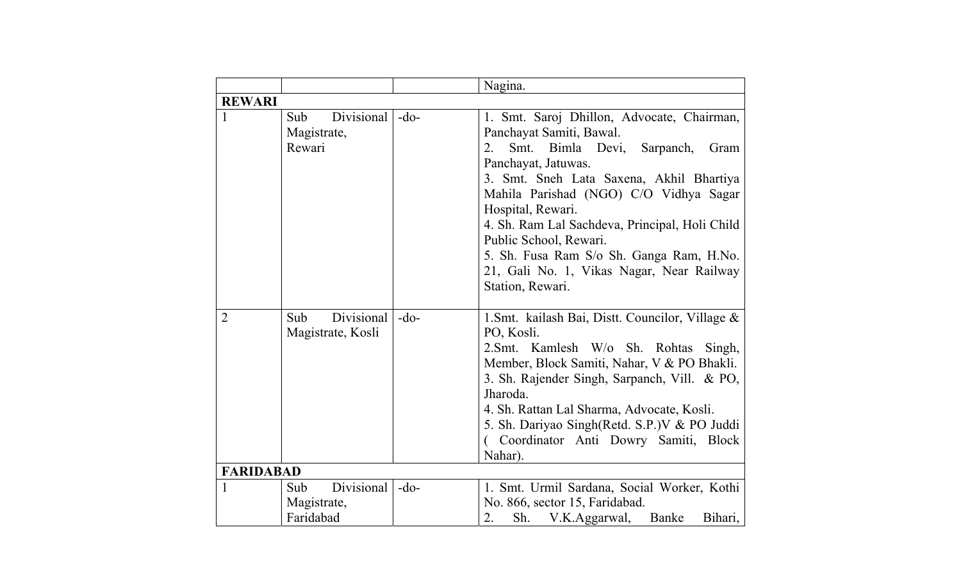|                  |                                               |        | Nagina.                                                                                                                                                                                                                                                                                                                                                                                                                                          |  |  |
|------------------|-----------------------------------------------|--------|--------------------------------------------------------------------------------------------------------------------------------------------------------------------------------------------------------------------------------------------------------------------------------------------------------------------------------------------------------------------------------------------------------------------------------------------------|--|--|
|                  | <b>REWARI</b>                                 |        |                                                                                                                                                                                                                                                                                                                                                                                                                                                  |  |  |
| 1                | Divisional<br>Sub<br>Magistrate,<br>Rewari    | $-do-$ | 1. Smt. Saroj Dhillon, Advocate, Chairman,<br>Panchayat Samiti, Bawal.<br>Smt. Bimla Devi,<br>2.<br>Sarpanch,<br>Gram<br>Panchayat, Jatuwas.<br>3. Smt. Sneh Lata Saxena, Akhil Bhartiya<br>Mahila Parishad (NGO) C/O Vidhya Sagar<br>Hospital, Rewari.<br>4. Sh. Ram Lal Sachdeva, Principal, Holi Child<br>Public School, Rewari.<br>5. Sh. Fusa Ram S/o Sh. Ganga Ram, H.No.<br>21, Gali No. 1, Vikas Nagar, Near Railway<br>Station, Rewari. |  |  |
| $\overline{2}$   | Divisional<br>Sub<br>Magistrate, Kosli        | $-do-$ | 1. Smt. kailash Bai, Distt. Councilor, Village &<br>PO, Kosli.<br>2.Smt. Kamlesh W/o Sh. Rohtas<br>Singh,<br>Member, Block Samiti, Nahar, V & PO Bhakli.<br>3. Sh. Rajender Singh, Sarpanch, Vill. & PO,<br>Jharoda.<br>4. Sh. Rattan Lal Sharma, Advocate, Kosli.<br>5. Sh. Dariyao Singh(Retd. S.P.) V & PO Juddi<br>(Coordinator Anti Dowry Samiti, Block<br>Nahar).                                                                          |  |  |
| <b>FARIDABAD</b> |                                               |        |                                                                                                                                                                                                                                                                                                                                                                                                                                                  |  |  |
| 1                | Divisional<br>Sub<br>Magistrate,<br>Faridabad | $-do-$ | 1. Smt. Urmil Sardana, Social Worker, Kothi<br>No. 866, sector 15, Faridabad.<br>2.<br>Sh. V.K.Aggarwal, Banke<br>Bihari,                                                                                                                                                                                                                                                                                                                        |  |  |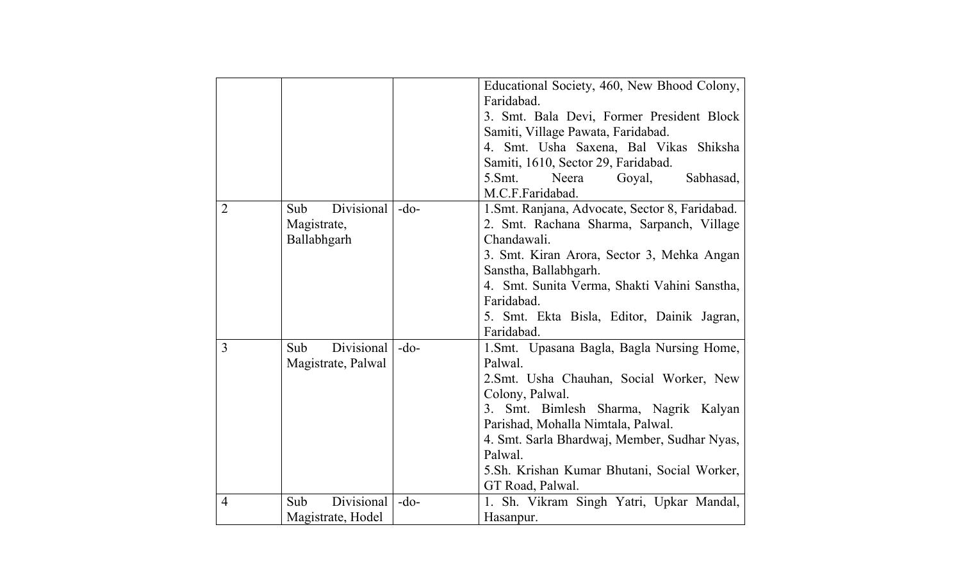|                |                    |        | Educational Society, 460, New Bhood Colony,     |
|----------------|--------------------|--------|-------------------------------------------------|
|                |                    |        | Faridabad.                                      |
|                |                    |        | 3. Smt. Bala Devi, Former President Block       |
|                |                    |        | Samiti, Village Pawata, Faridabad.              |
|                |                    |        | 4. Smt. Usha Saxena, Bal Vikas Shiksha          |
|                |                    |        | Samiti, 1610, Sector 29, Faridabad.             |
|                |                    |        | 5. Smt.<br>Neera<br>Goyal,<br>Sabhasad,         |
|                |                    |        | M.C.F.Faridabad.                                |
| $\overline{2}$ | Divisional<br>Sub  | $-do-$ | 1. Smt. Ranjana, Advocate, Sector 8, Faridabad. |
|                | Magistrate,        |        | 2. Smt. Rachana Sharma, Sarpanch, Village       |
|                | Ballabhgarh        |        | Chandawali.                                     |
|                |                    |        | 3. Smt. Kiran Arora, Sector 3, Mehka Angan      |
|                |                    |        | Sanstha, Ballabhgarh.                           |
|                |                    |        | 4. Smt. Sunita Verma, Shakti Vahini Sanstha,    |
|                |                    |        | Faridabad.                                      |
|                |                    |        | 5. Smt. Ekta Bisla, Editor, Dainik Jagran,      |
|                |                    |        | Faridabad.                                      |
| 3              | Divisional<br>Sub  | $-do-$ | 1. Smt. Upasana Bagla, Bagla Nursing Home,      |
|                | Magistrate, Palwal |        | Palwal.                                         |
|                |                    |        | 2. Smt. Usha Chauhan, Social Worker, New        |
|                |                    |        | Colony, Palwal.                                 |
|                |                    |        | Smt. Bimlesh Sharma, Nagrik Kalyan<br>3.        |
|                |                    |        | Parishad, Mohalla Nimtala, Palwal.              |
|                |                    |        | 4. Smt. Sarla Bhardwaj, Member, Sudhar Nyas,    |
|                |                    |        | Palwal.                                         |
|                |                    |        | 5.Sh. Krishan Kumar Bhutani, Social Worker,     |
|                |                    |        | GT Road, Palwal.                                |
| $\overline{4}$ | Divisional<br>Sub  | $-do-$ | 1. Sh. Vikram Singh Yatri, Upkar Mandal,        |
|                | Magistrate, Hodel  |        | Hasanpur.                                       |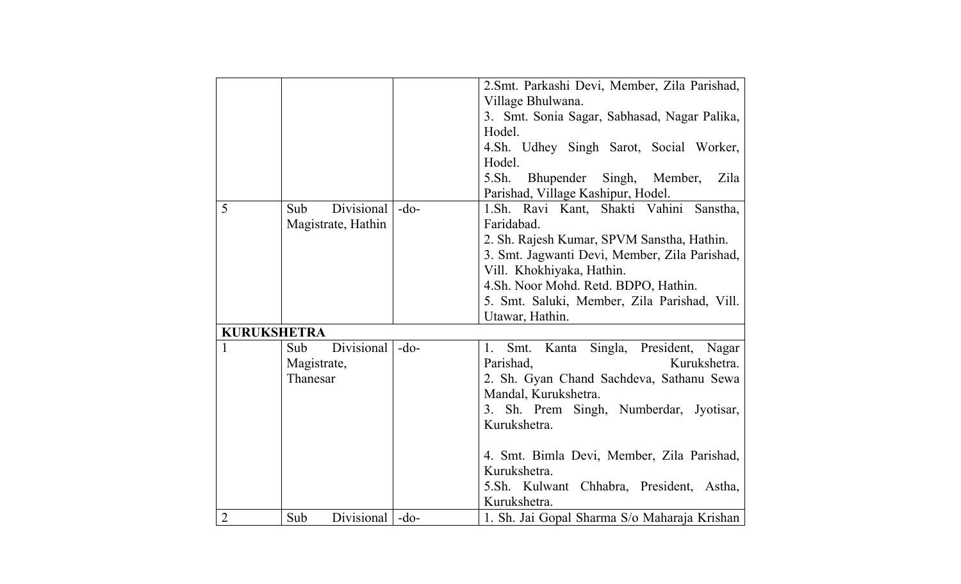|                    |                          |        | 2. Smt. Parkashi Devi, Member, Zila Parishad, |
|--------------------|--------------------------|--------|-----------------------------------------------|
|                    |                          |        | Village Bhulwana.                             |
|                    |                          |        | 3. Smt. Sonia Sagar, Sabhasad, Nagar Palika,  |
|                    |                          |        | Hodel.                                        |
|                    |                          |        | 4.Sh. Udhey Singh Sarot, Social Worker,       |
|                    |                          |        | Hodel.                                        |
|                    |                          |        | $5.$ Sh.<br>Bhupender Singh, Member, Zila     |
|                    |                          |        | Parishad, Village Kashipur, Hodel.            |
| 5                  | Divisional<br>Sub        | $-do-$ | 1.Sh. Ravi Kant, Shakti Vahini Sanstha,       |
|                    | Magistrate, Hathin       |        | Faridabad.                                    |
|                    |                          |        | 2. Sh. Rajesh Kumar, SPVM Sanstha, Hathin.    |
|                    |                          |        | 3. Smt. Jagwanti Devi, Member, Zila Parishad, |
|                    |                          |        | Vill. Khokhiyaka, Hathin.                     |
|                    |                          |        | 4. Sh. Noor Mohd. Retd. BDPO, Hathin.         |
|                    |                          |        | 5. Smt. Saluki, Member, Zila Parishad, Vill.  |
|                    |                          |        | Utawar, Hathin.                               |
| <b>KURUKSHETRA</b> |                          |        |                                               |
| $\mathbf{1}$       | Divisional<br>Sub        | $-do-$ | Kanta Singla, President, Nagar<br>Smt.<br>1.  |
|                    | Magistrate,              |        | Parishad,<br>Kurukshetra.                     |
|                    | Thanesar                 |        | 2. Sh. Gyan Chand Sachdeva, Sathanu Sewa      |
|                    |                          |        | Mandal, Kurukshetra.                          |
|                    |                          |        | 3. Sh. Prem Singh, Numberdar, Jyotisar,       |
|                    |                          |        | Kurukshetra.                                  |
|                    |                          |        |                                               |
|                    |                          |        | 4. Smt. Bimla Devi, Member, Zila Parishad,    |
|                    |                          |        | Kurukshetra.                                  |
|                    |                          |        | 5.Sh. Kulwant Chhabra, President, Astha,      |
|                    |                          |        | Kurukshetra.                                  |
| $\overline{2}$     | Divisional   -do-<br>Sub |        | 1. Sh. Jai Gopal Sharma S/o Maharaja Krishan  |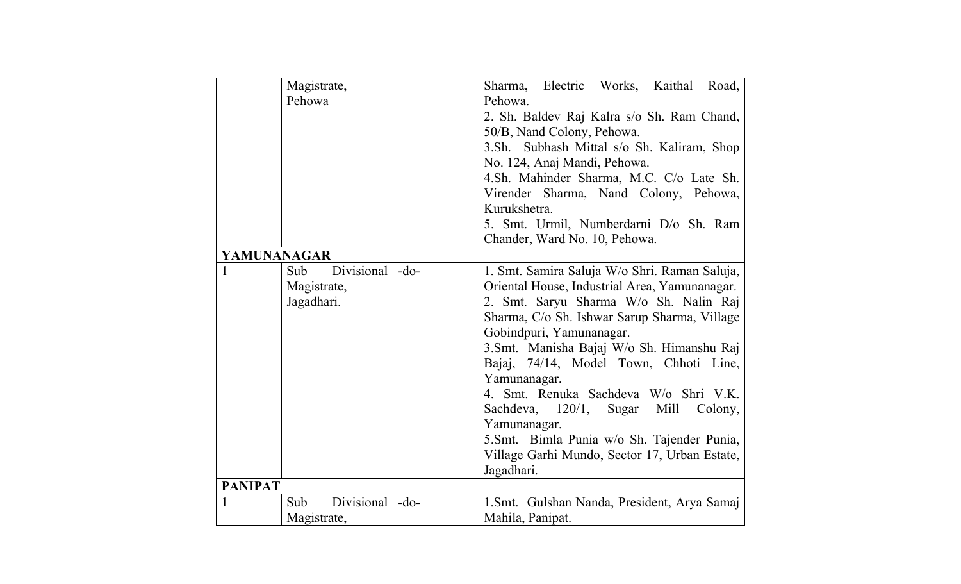|                | Magistrate,       |        | Sharma, Electric Works,<br>Kaithal<br>Road,   |
|----------------|-------------------|--------|-----------------------------------------------|
|                | Pehowa            |        | Pehowa.                                       |
|                |                   |        | 2. Sh. Baldev Raj Kalra s/o Sh. Ram Chand,    |
|                |                   |        | 50/B, Nand Colony, Pehowa.                    |
|                |                   |        | 3.Sh. Subhash Mittal s/o Sh. Kaliram, Shop    |
|                |                   |        | No. 124, Anaj Mandi, Pehowa.                  |
|                |                   |        | 4.Sh. Mahinder Sharma, M.C. C/o Late Sh.      |
|                |                   |        | Virender Sharma, Nand Colony, Pehowa,         |
|                |                   |        | Kurukshetra.                                  |
|                |                   |        | 5. Smt. Urmil, Numberdarni D/o Sh. Ram        |
|                |                   |        | Chander, Ward No. 10, Pehowa.                 |
| YAMUNANAGAR    |                   |        |                                               |
| 1              | Divisional<br>Sub | $-do-$ | 1. Smt. Samira Saluja W/o Shri. Raman Saluja, |
|                | Magistrate,       |        | Oriental House, Industrial Area, Yamunanagar. |
|                | Jagadhari.        |        | 2. Smt. Saryu Sharma W/o Sh. Nalin Raj        |
|                |                   |        | Sharma, C/o Sh. Ishwar Sarup Sharma, Village  |
|                |                   |        |                                               |
|                |                   |        | Gobindpuri, Yamunanagar.                      |
|                |                   |        | 3. Smt. Manisha Bajaj W/o Sh. Himanshu Raj    |
|                |                   |        | Bajaj, 74/14, Model Town, Chhoti Line,        |
|                |                   |        | Yamunanagar.                                  |
|                |                   |        | 4. Smt. Renuka Sachdeva W/o Shri V.K.         |
|                |                   |        | Sachdeva, 120/1, Sugar Mill<br>Colony,        |
|                |                   |        | Yamunanagar.                                  |
|                |                   |        | 5. Smt. Bimla Punia w/o Sh. Tajender Punia,   |
|                |                   |        | Village Garhi Mundo, Sector 17, Urban Estate, |
|                |                   |        | Jagadhari.                                    |
| <b>PANIPAT</b> |                   |        |                                               |
| $\mathbf 1$    | Divisional<br>Sub | $-do-$ | 1. Smt. Gulshan Nanda, President, Arya Samaj  |
|                | Magistrate,       |        | Mahila, Panipat.                              |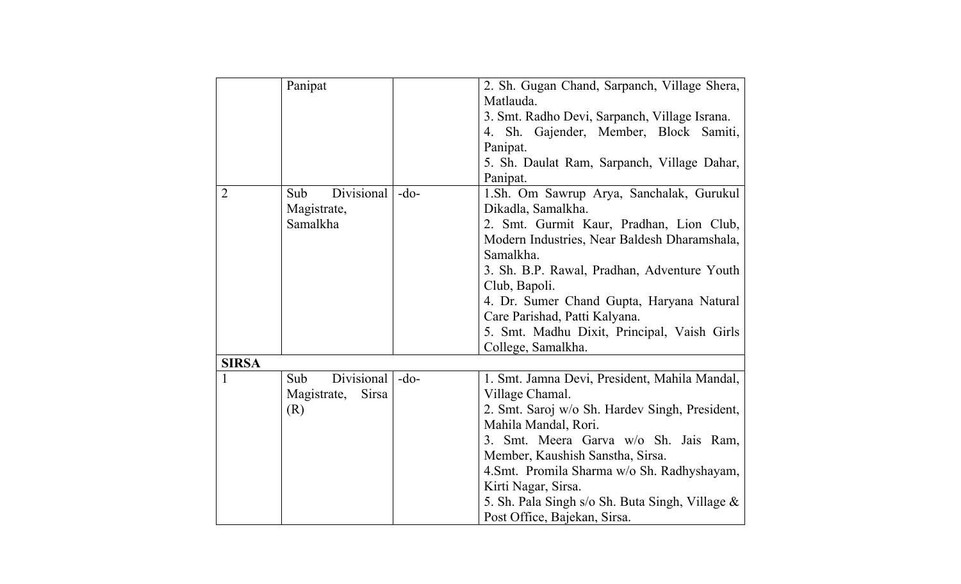|                       | Panipat                     |        | 2. Sh. Gugan Chand, Sarpanch, Village Shera,    |
|-----------------------|-----------------------------|--------|-------------------------------------------------|
|                       |                             |        | Matlauda.                                       |
|                       |                             |        | 3. Smt. Radho Devi, Sarpanch, Village Israna.   |
|                       |                             |        | 4. Sh. Gajender, Member, Block Samiti,          |
|                       |                             |        | Panipat.                                        |
|                       |                             |        | 5. Sh. Daulat Ram, Sarpanch, Village Dahar,     |
|                       |                             |        | Panipat.                                        |
| Sub<br>$\overline{2}$ | Divisional                  | $-do-$ | 1.Sh. Om Sawrup Arya, Sanchalak, Gurukul        |
|                       | Magistrate,                 |        | Dikadla, Samalkha.                              |
|                       | Samalkha                    |        | 2. Smt. Gurmit Kaur, Pradhan, Lion Club,        |
|                       |                             |        | Modern Industries, Near Baldesh Dharamshala,    |
|                       |                             |        | Samalkha.                                       |
|                       |                             |        | 3. Sh. B.P. Rawal, Pradhan, Adventure Youth     |
|                       |                             |        | Club, Bapoli.                                   |
|                       |                             |        | 4. Dr. Sumer Chand Gupta, Haryana Natural       |
|                       |                             |        | Care Parishad, Patti Kalyana.                   |
|                       |                             |        | 5. Smt. Madhu Dixit, Principal, Vaish Girls     |
|                       |                             |        | College, Samalkha.                              |
| <b>SIRSA</b>          |                             |        |                                                 |
| Sub                   | Divisional                  | $-do-$ | 1. Smt. Jamna Devi, President, Mahila Mandal,   |
|                       | <b>Sirsa</b><br>Magistrate, |        | Village Chamal.                                 |
| (R)                   |                             |        | 2. Smt. Saroj w/o Sh. Hardev Singh, President,  |
|                       |                             |        | Mahila Mandal, Rori.                            |
|                       |                             |        | 3. Smt. Meera Garva w/o Sh. Jais Ram,           |
|                       |                             |        | Member, Kaushish Sanstha, Sirsa.                |
|                       |                             |        | 4.Smt. Promila Sharma w/o Sh. Radhyshayam,      |
|                       |                             |        | Kirti Nagar, Sirsa.                             |
|                       |                             |        | 5. Sh. Pala Singh s/o Sh. Buta Singh, Village & |
|                       |                             |        | Post Office, Bajekan, Sirsa.                    |